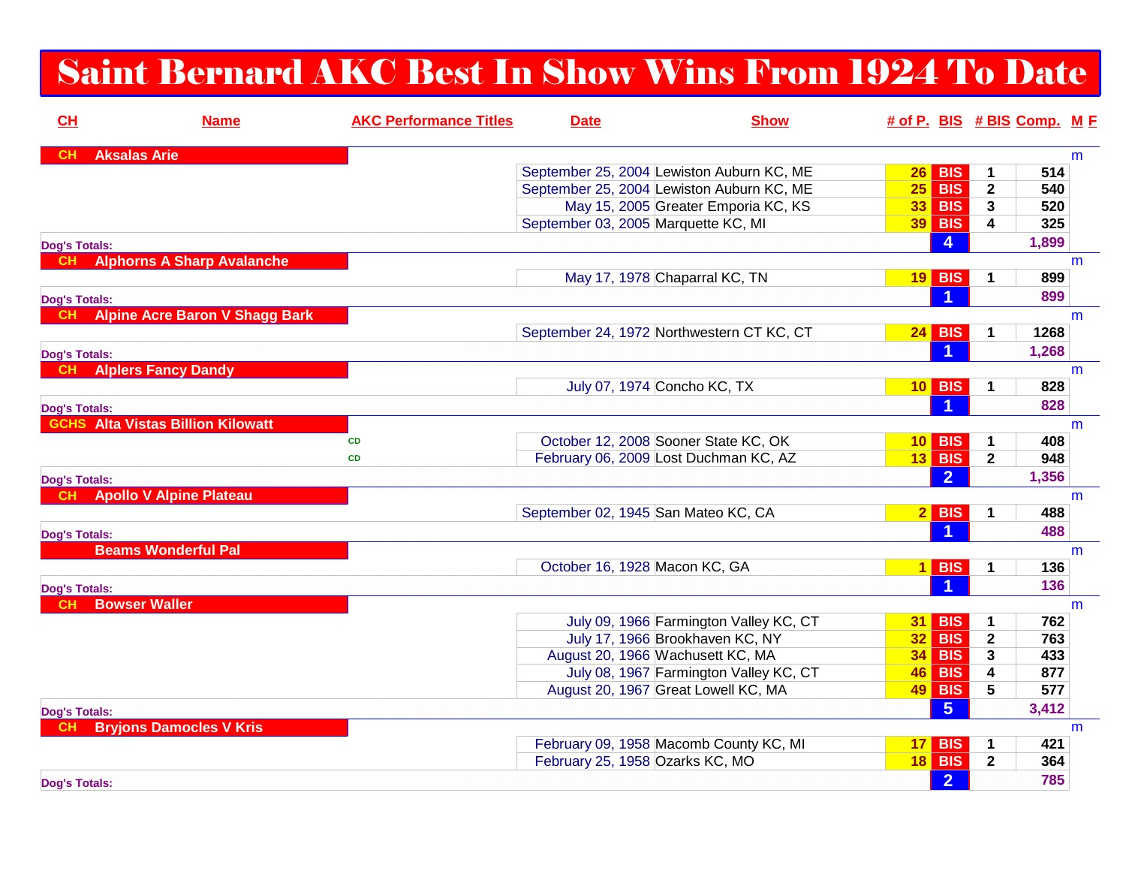## Saint Bernard AKC Best In Show Wins From 1924 To Date

| CH                   | <b>Name</b>                              | <b>AKC Performance Titles</b> | <b>Date</b>                               | <b>Show</b>                            | # of P. BIS # BIS Comp. M F |                 |              |       |   |
|----------------------|------------------------------------------|-------------------------------|-------------------------------------------|----------------------------------------|-----------------------------|-----------------|--------------|-------|---|
| <b>CH</b>            | <b>Aksalas Arie</b>                      |                               |                                           |                                        |                             |                 |              |       | m |
|                      |                                          |                               | September 25, 2004 Lewiston Auburn KC, ME |                                        | 26                          | <b>BIS</b>      | 1            | 514   |   |
|                      |                                          |                               | September 25, 2004 Lewiston Auburn KC, ME |                                        | $25$ BIS                    |                 | $\mathbf{2}$ | 540   |   |
|                      |                                          |                               |                                           | May 15, 2005 Greater Emporia KC, KS    | $33$ BIS                    |                 | $\mathbf{3}$ | 520   |   |
|                      |                                          |                               | September 03, 2005 Marquette KC, MI       |                                        | <b>39 BIS</b>               |                 | 4            | 325   |   |
| <b>Dog's Totals:</b> |                                          |                               |                                           |                                        |                             | $\overline{a}$  |              | 1,899 |   |
|                      | <b>Alphorns A Sharp Avalanche</b>        |                               |                                           |                                        |                             |                 |              |       | m |
|                      |                                          |                               | May 17, 1978 Chaparral KC, TN             |                                        | $19$ BIS                    |                 | 1            | 899   |   |
| <b>Dog's Totals:</b> |                                          |                               |                                           |                                        |                             |                 |              | 899   |   |
| CH.                  | <b>Alpine Acre Baron V Shagg Bark</b>    |                               |                                           |                                        |                             |                 |              |       | m |
|                      |                                          |                               | September 24, 1972 Northwestern CT KC, CT |                                        | 24                          | <b>BIS</b>      | 1            | 1268  |   |
| <b>Dog's Totals:</b> |                                          |                               |                                           |                                        |                             |                 |              | 1,268 |   |
| <b>CH</b>            | <b>Alplers Fancy Dandy</b>               |                               |                                           |                                        |                             |                 |              |       | m |
|                      |                                          |                               | July 07, 1974 Concho KC, TX               |                                        | $10$ BIS                    |                 | 1            | 828   |   |
| <b>Dog's Totals:</b> |                                          |                               |                                           |                                        |                             |                 |              | 828   |   |
|                      | <b>GCHS</b> Alta Vistas Billion Kilowatt |                               |                                           |                                        |                             |                 |              |       | m |
|                      |                                          | <b>CD</b>                     | October 12, 2008 Sooner State KC, OK      |                                        | 10 <sub>1</sub>             | <b>BIS</b>      | 1            | 408   |   |
|                      |                                          | <b>CD</b>                     | February 06, 2009 Lost Duchman KC, AZ     |                                        | <b>13 BIS</b>               |                 | $\mathbf{2}$ | 948   |   |
| <b>Dog's Totals:</b> |                                          |                               |                                           |                                        |                             | $\overline{2}$  |              | 1,356 |   |
| <b>CH</b>            | <b>Apollo V Alpine Plateau</b>           |                               |                                           |                                        |                             |                 |              |       | m |
|                      |                                          |                               | September 02, 1945 San Mateo KC, CA       |                                        | $2$ BIS                     |                 | 1            | 488   |   |
| <b>Dog's Totals:</b> |                                          |                               |                                           |                                        |                             |                 |              | 488   |   |
|                      | <b>Beams Wonderful Pal</b>               |                               |                                           |                                        |                             |                 |              |       | m |
|                      |                                          |                               | October 16, 1928 Macon KC, GA             |                                        | $1$ BIS                     |                 | 1            | 136   |   |
|                      |                                          |                               |                                           |                                        |                             |                 |              | 136   |   |
| <b>Dog's Totals:</b> | <b>Bowser Waller</b>                     |                               |                                           |                                        |                             |                 |              |       | m |
|                      |                                          |                               |                                           | July 09, 1966 Farmington Valley KC, CT | 31                          | <b>BIS</b>      | 1            | 762   |   |
|                      |                                          |                               |                                           | July 17, 1966 Brookhaven KC, NY        | 32 <sub>2</sub>             | <b>BIS</b>      | 2            | 763   |   |
|                      |                                          |                               | August 20, 1966 Wachusett KC, MA          |                                        | $34$ BIS                    |                 | 3            | 433   |   |
|                      |                                          |                               |                                           | July 08, 1967 Farmington Valley KC, CT | <b>46 BIS</b>               |                 | 4            | 877   |   |
|                      |                                          |                               | August 20, 1967 Great Lowell KC, MA       |                                        | $49$ BIS                    |                 | 5            | 577   |   |
|                      |                                          |                               |                                           |                                        |                             | $5\overline{)}$ |              | 3,412 |   |
| <b>Dog's Totals:</b> | <b>Bryjons Damocles V Kris</b>           |                               |                                           |                                        |                             |                 |              |       | m |
|                      |                                          |                               |                                           | February 09, 1958 Macomb County KC, MI | 17                          | <b>BIS</b>      | 1            | 421   |   |
|                      |                                          |                               | February 25, 1958 Ozarks KC, MO           |                                        | <b>18 BIS</b>               |                 | $\mathbf{2}$ | 364   |   |
| <b>Dog's Totals:</b> |                                          |                               |                                           |                                        |                             | $\overline{2}$  |              | 785   |   |
|                      |                                          |                               |                                           |                                        |                             |                 |              |       |   |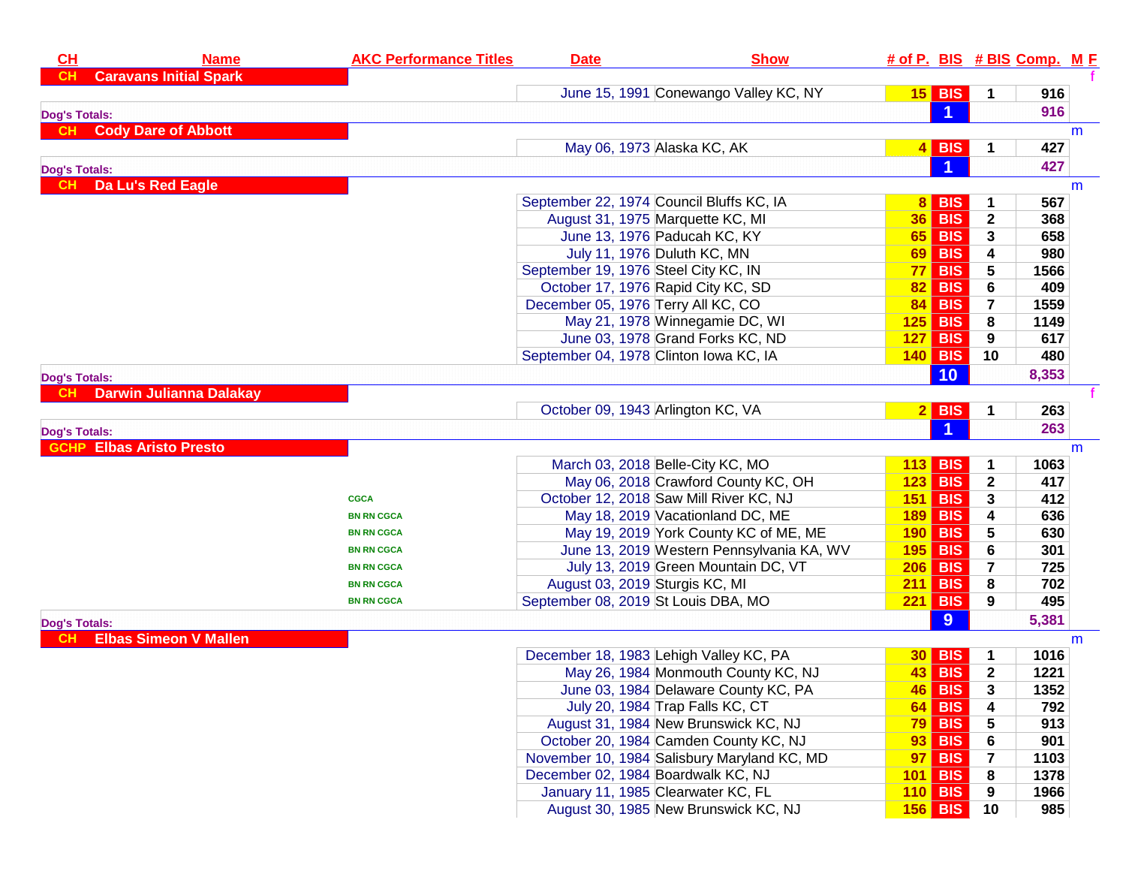| <b>Caravans Initial Spark</b><br><b>CH</b><br>June 15, 1991 Conewango Valley KC, NY<br>$15$ BIS<br>1<br>916<br>$\blacktriangleleft$<br>916<br><b>Dog's Totals:</b><br><b>Cody Dare of Abbott</b><br><b>CH</b><br>m<br><b>BIS</b><br>May 06, 1973 Alaska KC, AK<br>427<br>4 <br>1<br>427<br><b>Dog's Totals:</b><br>Da Lu's Red Eagle<br>CH<br>m<br>September 22, 1974 Council Bluffs KC, IA<br><b>BIS</b><br>567<br>81<br>1<br><b>BIS</b><br>August 31, 1975 Marquette KC, MI<br>$\mathbf{2}$<br>36 <br>368<br>June 13, 1976 Paducah KC, KY<br><b>BIS</b><br>65 <br>658<br>3<br>July 11, 1976 Duluth KC, MN<br><b>BIS</b><br>4<br>980<br>69 <br>September 19, 1976 Steel City KC, IN<br><b>BIS</b><br>5<br>77 <br>1566<br>October 17, 1976 Rapid City KC, SD<br><b>BIS</b><br>6<br>409<br>82 <br>December 05, 1976 Terry All KC, CO<br><b>BIS</b><br>1559<br>84 <br>$\overline{7}$<br>May 21, 1978 Winnegamie DC, WI<br><b>BIS</b><br>125<br>8<br>1149<br>June 03, 1978 Grand Forks KC, ND<br>127<br><b>BIS</b><br>617<br>9<br>September 04, 1978 Clinton Iowa KC, IA<br><b>140 BIS</b><br>10<br>480<br>10<br>8,353<br><b>Dog's Totals:</b><br><b>Darwin Julianna Dalakay</b><br>October 09, 1943 Arlington KC, VA<br><b>BIS</b><br>2 <br>263<br>1<br>$\blacktriangleleft$<br>263<br><b>Dog's Totals:</b><br><b>Elbas Aristo Presto</b><br>m<br>March 03, 2018 Belle-City KC, MO<br><b>BIS</b><br>113<br>1063<br>1<br>May 06, 2018 Crawford County KC, OH<br><b>BIS</b><br>417<br>123<br>$\mathbf{2}$<br>October 12, 2018 Saw Mill River KC, NJ<br><b>BIS</b><br>412<br>151<br>3<br><b>CGCA</b><br>May 18, 2019 Vacationland DC, ME<br><b>BIS</b><br>636<br>189<br>4<br><b>BN RN CGCA</b><br>May 19, 2019 York County KC of ME, ME<br><b>BIS</b><br>5<br>190<br>630<br><b>BN RN CGCA</b><br>June 13, 2019 Western Pennsylvania KA, WV<br><b>BIS</b><br>6<br>195<br>301<br><b>BN RN CGCA</b><br>July 13, 2019 Green Mountain DC, VT<br><b>BIS</b><br>7<br>206<br>725<br><b>BN RN CGCA</b><br>August 03, 2019 Sturgis KC, MI<br><b>BIS</b><br>8<br>702<br>211<br><b>BN RN CGCA</b><br><b>BIS</b><br>September 08, 2019 St Louis DBA, MO<br>495<br>221<br>9<br><b>BN RN CGCA</b><br>9<br>5,381<br><b>Dog's Totals:</b><br><b>Elbas Simeon V Mallen</b><br>m<br>December 18, 1983 Lehigh Valley KC, PA<br><b>BIS</b><br>$\mathbf 1$<br>1016<br>30 <br>May 26, 1984 Monmouth County KC, NJ<br>$\mathbf{2}$<br><b>BIS</b><br>1221<br>43 <br>46 BIS<br>June 03, 1984 Delaware County KC, PA<br>1352<br>3<br>July 20, 1984 Trap Falls KC, CT<br><b>BIS</b><br>792<br>4<br>64 <br>August 31, 1984 New Brunswick KC, NJ<br><b>79 BIS</b><br>5<br>913<br>October 20, 1984 Camden County KC, NJ<br><b>BIS</b><br>6<br>901<br>93 <br>November 10, 1984 Salisbury Maryland KC, MD<br><b>BIS</b><br>7<br>1103<br>97 | CH | <b>Name</b> | <b>AKC Performance Titles</b> | <b>Date</b> | <b>Show</b> |  | # of P. BIS # BIS Comp. M F |  |
|------------------------------------------------------------------------------------------------------------------------------------------------------------------------------------------------------------------------------------------------------------------------------------------------------------------------------------------------------------------------------------------------------------------------------------------------------------------------------------------------------------------------------------------------------------------------------------------------------------------------------------------------------------------------------------------------------------------------------------------------------------------------------------------------------------------------------------------------------------------------------------------------------------------------------------------------------------------------------------------------------------------------------------------------------------------------------------------------------------------------------------------------------------------------------------------------------------------------------------------------------------------------------------------------------------------------------------------------------------------------------------------------------------------------------------------------------------------------------------------------------------------------------------------------------------------------------------------------------------------------------------------------------------------------------------------------------------------------------------------------------------------------------------------------------------------------------------------------------------------------------------------------------------------------------------------------------------------------------------------------------------------------------------------------------------------------------------------------------------------------------------------------------------------------------------------------------------------------------------------------------------------------------------------------------------------------------------------------------------------------------------------------------------------------------------------------------------------------------------------------------------------------------------------------------------------------------------------------------------------------------------------------------------------------------------------------------------------------------------------------------------------------------------------------------|----|-------------|-------------------------------|-------------|-------------|--|-----------------------------|--|
|                                                                                                                                                                                                                                                                                                                                                                                                                                                                                                                                                                                                                                                                                                                                                                                                                                                                                                                                                                                                                                                                                                                                                                                                                                                                                                                                                                                                                                                                                                                                                                                                                                                                                                                                                                                                                                                                                                                                                                                                                                                                                                                                                                                                                                                                                                                                                                                                                                                                                                                                                                                                                                                                                                                                                                                                      |    |             |                               |             |             |  |                             |  |
|                                                                                                                                                                                                                                                                                                                                                                                                                                                                                                                                                                                                                                                                                                                                                                                                                                                                                                                                                                                                                                                                                                                                                                                                                                                                                                                                                                                                                                                                                                                                                                                                                                                                                                                                                                                                                                                                                                                                                                                                                                                                                                                                                                                                                                                                                                                                                                                                                                                                                                                                                                                                                                                                                                                                                                                                      |    |             |                               |             |             |  |                             |  |
|                                                                                                                                                                                                                                                                                                                                                                                                                                                                                                                                                                                                                                                                                                                                                                                                                                                                                                                                                                                                                                                                                                                                                                                                                                                                                                                                                                                                                                                                                                                                                                                                                                                                                                                                                                                                                                                                                                                                                                                                                                                                                                                                                                                                                                                                                                                                                                                                                                                                                                                                                                                                                                                                                                                                                                                                      |    |             |                               |             |             |  |                             |  |
|                                                                                                                                                                                                                                                                                                                                                                                                                                                                                                                                                                                                                                                                                                                                                                                                                                                                                                                                                                                                                                                                                                                                                                                                                                                                                                                                                                                                                                                                                                                                                                                                                                                                                                                                                                                                                                                                                                                                                                                                                                                                                                                                                                                                                                                                                                                                                                                                                                                                                                                                                                                                                                                                                                                                                                                                      |    |             |                               |             |             |  |                             |  |
|                                                                                                                                                                                                                                                                                                                                                                                                                                                                                                                                                                                                                                                                                                                                                                                                                                                                                                                                                                                                                                                                                                                                                                                                                                                                                                                                                                                                                                                                                                                                                                                                                                                                                                                                                                                                                                                                                                                                                                                                                                                                                                                                                                                                                                                                                                                                                                                                                                                                                                                                                                                                                                                                                                                                                                                                      |    |             |                               |             |             |  |                             |  |
|                                                                                                                                                                                                                                                                                                                                                                                                                                                                                                                                                                                                                                                                                                                                                                                                                                                                                                                                                                                                                                                                                                                                                                                                                                                                                                                                                                                                                                                                                                                                                                                                                                                                                                                                                                                                                                                                                                                                                                                                                                                                                                                                                                                                                                                                                                                                                                                                                                                                                                                                                                                                                                                                                                                                                                                                      |    |             |                               |             |             |  |                             |  |
|                                                                                                                                                                                                                                                                                                                                                                                                                                                                                                                                                                                                                                                                                                                                                                                                                                                                                                                                                                                                                                                                                                                                                                                                                                                                                                                                                                                                                                                                                                                                                                                                                                                                                                                                                                                                                                                                                                                                                                                                                                                                                                                                                                                                                                                                                                                                                                                                                                                                                                                                                                                                                                                                                                                                                                                                      |    |             |                               |             |             |  |                             |  |
|                                                                                                                                                                                                                                                                                                                                                                                                                                                                                                                                                                                                                                                                                                                                                                                                                                                                                                                                                                                                                                                                                                                                                                                                                                                                                                                                                                                                                                                                                                                                                                                                                                                                                                                                                                                                                                                                                                                                                                                                                                                                                                                                                                                                                                                                                                                                                                                                                                                                                                                                                                                                                                                                                                                                                                                                      |    |             |                               |             |             |  |                             |  |
|                                                                                                                                                                                                                                                                                                                                                                                                                                                                                                                                                                                                                                                                                                                                                                                                                                                                                                                                                                                                                                                                                                                                                                                                                                                                                                                                                                                                                                                                                                                                                                                                                                                                                                                                                                                                                                                                                                                                                                                                                                                                                                                                                                                                                                                                                                                                                                                                                                                                                                                                                                                                                                                                                                                                                                                                      |    |             |                               |             |             |  |                             |  |
|                                                                                                                                                                                                                                                                                                                                                                                                                                                                                                                                                                                                                                                                                                                                                                                                                                                                                                                                                                                                                                                                                                                                                                                                                                                                                                                                                                                                                                                                                                                                                                                                                                                                                                                                                                                                                                                                                                                                                                                                                                                                                                                                                                                                                                                                                                                                                                                                                                                                                                                                                                                                                                                                                                                                                                                                      |    |             |                               |             |             |  |                             |  |
|                                                                                                                                                                                                                                                                                                                                                                                                                                                                                                                                                                                                                                                                                                                                                                                                                                                                                                                                                                                                                                                                                                                                                                                                                                                                                                                                                                                                                                                                                                                                                                                                                                                                                                                                                                                                                                                                                                                                                                                                                                                                                                                                                                                                                                                                                                                                                                                                                                                                                                                                                                                                                                                                                                                                                                                                      |    |             |                               |             |             |  |                             |  |
|                                                                                                                                                                                                                                                                                                                                                                                                                                                                                                                                                                                                                                                                                                                                                                                                                                                                                                                                                                                                                                                                                                                                                                                                                                                                                                                                                                                                                                                                                                                                                                                                                                                                                                                                                                                                                                                                                                                                                                                                                                                                                                                                                                                                                                                                                                                                                                                                                                                                                                                                                                                                                                                                                                                                                                                                      |    |             |                               |             |             |  |                             |  |
|                                                                                                                                                                                                                                                                                                                                                                                                                                                                                                                                                                                                                                                                                                                                                                                                                                                                                                                                                                                                                                                                                                                                                                                                                                                                                                                                                                                                                                                                                                                                                                                                                                                                                                                                                                                                                                                                                                                                                                                                                                                                                                                                                                                                                                                                                                                                                                                                                                                                                                                                                                                                                                                                                                                                                                                                      |    |             |                               |             |             |  |                             |  |
|                                                                                                                                                                                                                                                                                                                                                                                                                                                                                                                                                                                                                                                                                                                                                                                                                                                                                                                                                                                                                                                                                                                                                                                                                                                                                                                                                                                                                                                                                                                                                                                                                                                                                                                                                                                                                                                                                                                                                                                                                                                                                                                                                                                                                                                                                                                                                                                                                                                                                                                                                                                                                                                                                                                                                                                                      |    |             |                               |             |             |  |                             |  |
|                                                                                                                                                                                                                                                                                                                                                                                                                                                                                                                                                                                                                                                                                                                                                                                                                                                                                                                                                                                                                                                                                                                                                                                                                                                                                                                                                                                                                                                                                                                                                                                                                                                                                                                                                                                                                                                                                                                                                                                                                                                                                                                                                                                                                                                                                                                                                                                                                                                                                                                                                                                                                                                                                                                                                                                                      |    |             |                               |             |             |  |                             |  |
|                                                                                                                                                                                                                                                                                                                                                                                                                                                                                                                                                                                                                                                                                                                                                                                                                                                                                                                                                                                                                                                                                                                                                                                                                                                                                                                                                                                                                                                                                                                                                                                                                                                                                                                                                                                                                                                                                                                                                                                                                                                                                                                                                                                                                                                                                                                                                                                                                                                                                                                                                                                                                                                                                                                                                                                                      |    |             |                               |             |             |  |                             |  |
|                                                                                                                                                                                                                                                                                                                                                                                                                                                                                                                                                                                                                                                                                                                                                                                                                                                                                                                                                                                                                                                                                                                                                                                                                                                                                                                                                                                                                                                                                                                                                                                                                                                                                                                                                                                                                                                                                                                                                                                                                                                                                                                                                                                                                                                                                                                                                                                                                                                                                                                                                                                                                                                                                                                                                                                                      |    |             |                               |             |             |  |                             |  |
|                                                                                                                                                                                                                                                                                                                                                                                                                                                                                                                                                                                                                                                                                                                                                                                                                                                                                                                                                                                                                                                                                                                                                                                                                                                                                                                                                                                                                                                                                                                                                                                                                                                                                                                                                                                                                                                                                                                                                                                                                                                                                                                                                                                                                                                                                                                                                                                                                                                                                                                                                                                                                                                                                                                                                                                                      |    |             |                               |             |             |  |                             |  |
|                                                                                                                                                                                                                                                                                                                                                                                                                                                                                                                                                                                                                                                                                                                                                                                                                                                                                                                                                                                                                                                                                                                                                                                                                                                                                                                                                                                                                                                                                                                                                                                                                                                                                                                                                                                                                                                                                                                                                                                                                                                                                                                                                                                                                                                                                                                                                                                                                                                                                                                                                                                                                                                                                                                                                                                                      |    |             |                               |             |             |  |                             |  |
|                                                                                                                                                                                                                                                                                                                                                                                                                                                                                                                                                                                                                                                                                                                                                                                                                                                                                                                                                                                                                                                                                                                                                                                                                                                                                                                                                                                                                                                                                                                                                                                                                                                                                                                                                                                                                                                                                                                                                                                                                                                                                                                                                                                                                                                                                                                                                                                                                                                                                                                                                                                                                                                                                                                                                                                                      |    |             |                               |             |             |  |                             |  |
|                                                                                                                                                                                                                                                                                                                                                                                                                                                                                                                                                                                                                                                                                                                                                                                                                                                                                                                                                                                                                                                                                                                                                                                                                                                                                                                                                                                                                                                                                                                                                                                                                                                                                                                                                                                                                                                                                                                                                                                                                                                                                                                                                                                                                                                                                                                                                                                                                                                                                                                                                                                                                                                                                                                                                                                                      |    |             |                               |             |             |  |                             |  |
|                                                                                                                                                                                                                                                                                                                                                                                                                                                                                                                                                                                                                                                                                                                                                                                                                                                                                                                                                                                                                                                                                                                                                                                                                                                                                                                                                                                                                                                                                                                                                                                                                                                                                                                                                                                                                                                                                                                                                                                                                                                                                                                                                                                                                                                                                                                                                                                                                                                                                                                                                                                                                                                                                                                                                                                                      |    |             |                               |             |             |  |                             |  |
|                                                                                                                                                                                                                                                                                                                                                                                                                                                                                                                                                                                                                                                                                                                                                                                                                                                                                                                                                                                                                                                                                                                                                                                                                                                                                                                                                                                                                                                                                                                                                                                                                                                                                                                                                                                                                                                                                                                                                                                                                                                                                                                                                                                                                                                                                                                                                                                                                                                                                                                                                                                                                                                                                                                                                                                                      |    |             |                               |             |             |  |                             |  |
|                                                                                                                                                                                                                                                                                                                                                                                                                                                                                                                                                                                                                                                                                                                                                                                                                                                                                                                                                                                                                                                                                                                                                                                                                                                                                                                                                                                                                                                                                                                                                                                                                                                                                                                                                                                                                                                                                                                                                                                                                                                                                                                                                                                                                                                                                                                                                                                                                                                                                                                                                                                                                                                                                                                                                                                                      |    |             |                               |             |             |  |                             |  |
|                                                                                                                                                                                                                                                                                                                                                                                                                                                                                                                                                                                                                                                                                                                                                                                                                                                                                                                                                                                                                                                                                                                                                                                                                                                                                                                                                                                                                                                                                                                                                                                                                                                                                                                                                                                                                                                                                                                                                                                                                                                                                                                                                                                                                                                                                                                                                                                                                                                                                                                                                                                                                                                                                                                                                                                                      |    |             |                               |             |             |  |                             |  |
|                                                                                                                                                                                                                                                                                                                                                                                                                                                                                                                                                                                                                                                                                                                                                                                                                                                                                                                                                                                                                                                                                                                                                                                                                                                                                                                                                                                                                                                                                                                                                                                                                                                                                                                                                                                                                                                                                                                                                                                                                                                                                                                                                                                                                                                                                                                                                                                                                                                                                                                                                                                                                                                                                                                                                                                                      |    |             |                               |             |             |  |                             |  |
|                                                                                                                                                                                                                                                                                                                                                                                                                                                                                                                                                                                                                                                                                                                                                                                                                                                                                                                                                                                                                                                                                                                                                                                                                                                                                                                                                                                                                                                                                                                                                                                                                                                                                                                                                                                                                                                                                                                                                                                                                                                                                                                                                                                                                                                                                                                                                                                                                                                                                                                                                                                                                                                                                                                                                                                                      |    |             |                               |             |             |  |                             |  |
|                                                                                                                                                                                                                                                                                                                                                                                                                                                                                                                                                                                                                                                                                                                                                                                                                                                                                                                                                                                                                                                                                                                                                                                                                                                                                                                                                                                                                                                                                                                                                                                                                                                                                                                                                                                                                                                                                                                                                                                                                                                                                                                                                                                                                                                                                                                                                                                                                                                                                                                                                                                                                                                                                                                                                                                                      |    |             |                               |             |             |  |                             |  |
|                                                                                                                                                                                                                                                                                                                                                                                                                                                                                                                                                                                                                                                                                                                                                                                                                                                                                                                                                                                                                                                                                                                                                                                                                                                                                                                                                                                                                                                                                                                                                                                                                                                                                                                                                                                                                                                                                                                                                                                                                                                                                                                                                                                                                                                                                                                                                                                                                                                                                                                                                                                                                                                                                                                                                                                                      |    |             |                               |             |             |  |                             |  |
|                                                                                                                                                                                                                                                                                                                                                                                                                                                                                                                                                                                                                                                                                                                                                                                                                                                                                                                                                                                                                                                                                                                                                                                                                                                                                                                                                                                                                                                                                                                                                                                                                                                                                                                                                                                                                                                                                                                                                                                                                                                                                                                                                                                                                                                                                                                                                                                                                                                                                                                                                                                                                                                                                                                                                                                                      |    |             |                               |             |             |  |                             |  |
|                                                                                                                                                                                                                                                                                                                                                                                                                                                                                                                                                                                                                                                                                                                                                                                                                                                                                                                                                                                                                                                                                                                                                                                                                                                                                                                                                                                                                                                                                                                                                                                                                                                                                                                                                                                                                                                                                                                                                                                                                                                                                                                                                                                                                                                                                                                                                                                                                                                                                                                                                                                                                                                                                                                                                                                                      |    |             |                               |             |             |  |                             |  |
|                                                                                                                                                                                                                                                                                                                                                                                                                                                                                                                                                                                                                                                                                                                                                                                                                                                                                                                                                                                                                                                                                                                                                                                                                                                                                                                                                                                                                                                                                                                                                                                                                                                                                                                                                                                                                                                                                                                                                                                                                                                                                                                                                                                                                                                                                                                                                                                                                                                                                                                                                                                                                                                                                                                                                                                                      |    |             |                               |             |             |  |                             |  |
|                                                                                                                                                                                                                                                                                                                                                                                                                                                                                                                                                                                                                                                                                                                                                                                                                                                                                                                                                                                                                                                                                                                                                                                                                                                                                                                                                                                                                                                                                                                                                                                                                                                                                                                                                                                                                                                                                                                                                                                                                                                                                                                                                                                                                                                                                                                                                                                                                                                                                                                                                                                                                                                                                                                                                                                                      |    |             |                               |             |             |  |                             |  |
|                                                                                                                                                                                                                                                                                                                                                                                                                                                                                                                                                                                                                                                                                                                                                                                                                                                                                                                                                                                                                                                                                                                                                                                                                                                                                                                                                                                                                                                                                                                                                                                                                                                                                                                                                                                                                                                                                                                                                                                                                                                                                                                                                                                                                                                                                                                                                                                                                                                                                                                                                                                                                                                                                                                                                                                                      |    |             |                               |             |             |  |                             |  |
|                                                                                                                                                                                                                                                                                                                                                                                                                                                                                                                                                                                                                                                                                                                                                                                                                                                                                                                                                                                                                                                                                                                                                                                                                                                                                                                                                                                                                                                                                                                                                                                                                                                                                                                                                                                                                                                                                                                                                                                                                                                                                                                                                                                                                                                                                                                                                                                                                                                                                                                                                                                                                                                                                                                                                                                                      |    |             |                               |             |             |  |                             |  |
|                                                                                                                                                                                                                                                                                                                                                                                                                                                                                                                                                                                                                                                                                                                                                                                                                                                                                                                                                                                                                                                                                                                                                                                                                                                                                                                                                                                                                                                                                                                                                                                                                                                                                                                                                                                                                                                                                                                                                                                                                                                                                                                                                                                                                                                                                                                                                                                                                                                                                                                                                                                                                                                                                                                                                                                                      |    |             |                               |             |             |  |                             |  |
|                                                                                                                                                                                                                                                                                                                                                                                                                                                                                                                                                                                                                                                                                                                                                                                                                                                                                                                                                                                                                                                                                                                                                                                                                                                                                                                                                                                                                                                                                                                                                                                                                                                                                                                                                                                                                                                                                                                                                                                                                                                                                                                                                                                                                                                                                                                                                                                                                                                                                                                                                                                                                                                                                                                                                                                                      |    |             |                               |             |             |  |                             |  |
|                                                                                                                                                                                                                                                                                                                                                                                                                                                                                                                                                                                                                                                                                                                                                                                                                                                                                                                                                                                                                                                                                                                                                                                                                                                                                                                                                                                                                                                                                                                                                                                                                                                                                                                                                                                                                                                                                                                                                                                                                                                                                                                                                                                                                                                                                                                                                                                                                                                                                                                                                                                                                                                                                                                                                                                                      |    |             |                               |             |             |  |                             |  |
|                                                                                                                                                                                                                                                                                                                                                                                                                                                                                                                                                                                                                                                                                                                                                                                                                                                                                                                                                                                                                                                                                                                                                                                                                                                                                                                                                                                                                                                                                                                                                                                                                                                                                                                                                                                                                                                                                                                                                                                                                                                                                                                                                                                                                                                                                                                                                                                                                                                                                                                                                                                                                                                                                                                                                                                                      |    |             |                               |             |             |  |                             |  |
|                                                                                                                                                                                                                                                                                                                                                                                                                                                                                                                                                                                                                                                                                                                                                                                                                                                                                                                                                                                                                                                                                                                                                                                                                                                                                                                                                                                                                                                                                                                                                                                                                                                                                                                                                                                                                                                                                                                                                                                                                                                                                                                                                                                                                                                                                                                                                                                                                                                                                                                                                                                                                                                                                                                                                                                                      |    |             |                               |             |             |  |                             |  |
| December 02, 1984 Boardwalk KC, NJ<br><b>BIS</b><br>8<br>1378<br>101                                                                                                                                                                                                                                                                                                                                                                                                                                                                                                                                                                                                                                                                                                                                                                                                                                                                                                                                                                                                                                                                                                                                                                                                                                                                                                                                                                                                                                                                                                                                                                                                                                                                                                                                                                                                                                                                                                                                                                                                                                                                                                                                                                                                                                                                                                                                                                                                                                                                                                                                                                                                                                                                                                                                 |    |             |                               |             |             |  |                             |  |
| January 11, 1985 Clearwater KC, FL<br><b>110 BIS</b><br>1966<br>9                                                                                                                                                                                                                                                                                                                                                                                                                                                                                                                                                                                                                                                                                                                                                                                                                                                                                                                                                                                                                                                                                                                                                                                                                                                                                                                                                                                                                                                                                                                                                                                                                                                                                                                                                                                                                                                                                                                                                                                                                                                                                                                                                                                                                                                                                                                                                                                                                                                                                                                                                                                                                                                                                                                                    |    |             |                               |             |             |  |                             |  |
| August 30, 1985 New Brunswick KC, NJ<br>985<br>$156$ BIS<br>10                                                                                                                                                                                                                                                                                                                                                                                                                                                                                                                                                                                                                                                                                                                                                                                                                                                                                                                                                                                                                                                                                                                                                                                                                                                                                                                                                                                                                                                                                                                                                                                                                                                                                                                                                                                                                                                                                                                                                                                                                                                                                                                                                                                                                                                                                                                                                                                                                                                                                                                                                                                                                                                                                                                                       |    |             |                               |             |             |  |                             |  |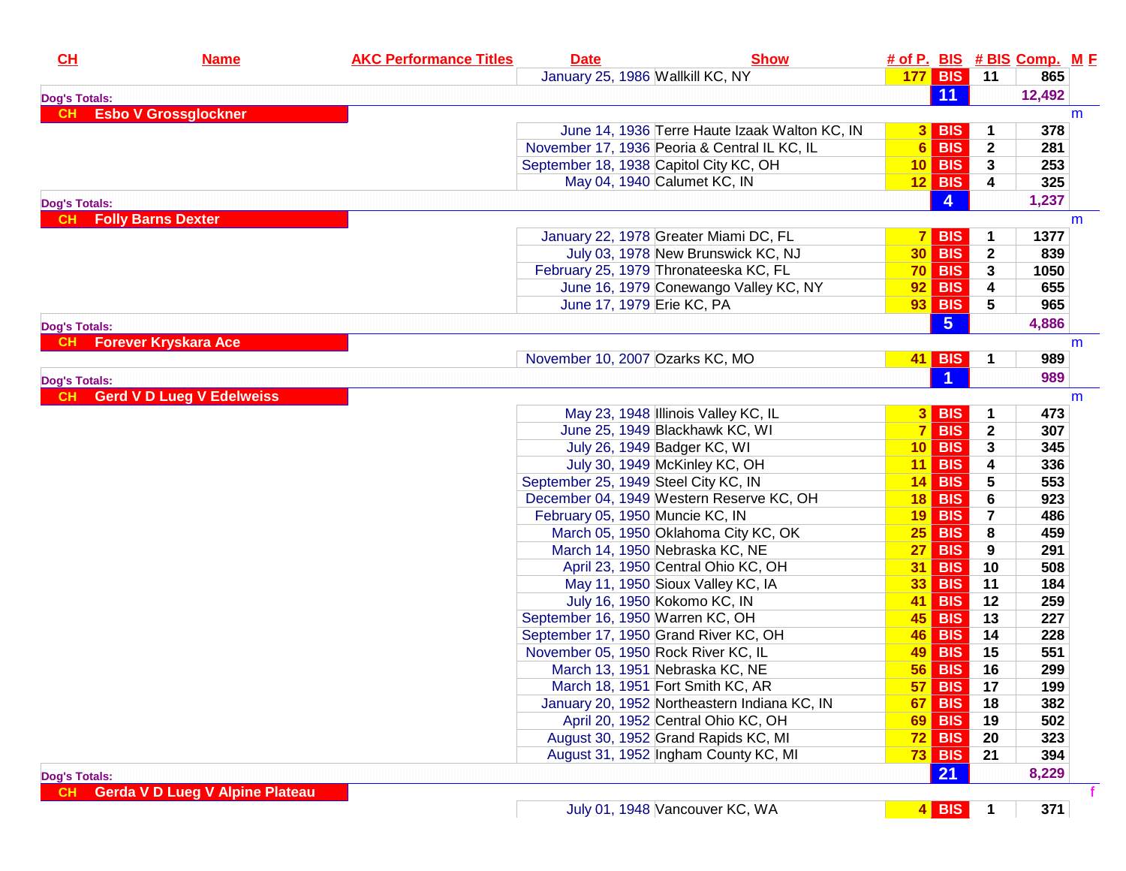| CH                   | <b>Name</b>                            | <b>AKC Performance Titles</b> | <b>Date</b> | <b>Show</b>                                                               |           |                      |                         | # of P. BIS # BIS Comp. M F |   |
|----------------------|----------------------------------------|-------------------------------|-------------|---------------------------------------------------------------------------|-----------|----------------------|-------------------------|-----------------------------|---|
|                      |                                        |                               |             | January 25, 1986 Wallkill KC, NY                                          |           | 177 BIS 11           |                         | 865                         |   |
| <b>Dog's Totals:</b> |                                        |                               |             |                                                                           |           | 11                   |                         | 12,492                      |   |
| <b>CH</b>            | <b>Esbo V Grossglockner</b>            |                               |             |                                                                           |           |                      |                         |                             | m |
|                      |                                        |                               |             | June 14, 1936 Terre Haute Izaak Walton KC, IN                             |           | $3$ BIS              | 1                       | 378                         |   |
|                      |                                        |                               |             | November 17, 1936 Peoria & Central IL KC, IL                              |           | $6$ BIS              | $\mathbf{2}$            | 281                         |   |
|                      |                                        |                               |             | September 18, 1938 Capitol City KC, OH                                    |           | $10$ BIS             | 3                       | 253                         |   |
|                      |                                        |                               |             | May 04, 1940 Calumet KC, IN                                               |           | $12$ BIS             | 4                       | 325                         |   |
| <b>Dog's Totals:</b> |                                        |                               |             |                                                                           |           | $\overline{4}$       |                         | 1,237                       |   |
| <b>CH</b>            | <b>Folly Barns Dexter</b>              |                               |             |                                                                           |           |                      |                         |                             | m |
|                      |                                        |                               |             | January 22, 1978 Greater Miami DC, FL                                     |           | $7$ BIS              |                         | 1377                        |   |
|                      |                                        |                               |             | July 03, 1978 New Brunswick KC, NJ                                        |           | <b>30 BIS</b>        | $\mathbf{2}$            | 839                         |   |
|                      |                                        |                               |             | February 25, 1979 Thronateeska KC, FL                                     |           | $70$ BIS             | 3                       | 1050                        |   |
|                      |                                        |                               |             | June 16, 1979 Conewango Valley KC, NY                                     |           | $92$ BIS             | 4                       | 655                         |   |
|                      |                                        |                               |             | June 17, 1979 Erie KC, PA                                                 |           | $93$ BIS             | 5                       | 965                         |   |
| <b>Dog's Totals:</b> |                                        |                               |             |                                                                           |           | $5\overline{5}$      |                         | 4,886                       |   |
|                      | <b>Forever Kryskara Ace</b>            |                               |             |                                                                           |           |                      |                         |                             | m |
|                      |                                        |                               |             | November 10, 2007 Ozarks KC, MO                                           |           | <b>41 BIS</b>        | 1                       | 989                         |   |
| <b>Dog's Totals:</b> |                                        |                               |             |                                                                           |           | $\blacktriangleleft$ |                         | 989                         |   |
| CH.                  | <b>Gerd V D Lueg V Edelweiss</b>       |                               |             |                                                                           |           |                      |                         |                             | m |
|                      |                                        |                               |             | May 23, 1948 Illinois Valley KC, IL                                       |           | $3$ BIS              | 1                       | 473                         |   |
|                      |                                        |                               |             | June 25, 1949 Blackhawk KC, WI                                            |           | $7$ BIS              | $\mathbf{2}$            | 307                         |   |
|                      |                                        |                               |             | July 26, 1949 Badger KC, WI                                               |           | $10$ BIS             | 3                       | 345                         |   |
|                      |                                        |                               |             | July 30, 1949 McKinley KC, OH                                             |           | $11$ BIS             | 4                       | 336                         |   |
|                      |                                        |                               |             | September 25, 1949 Steel City KC, IN                                      |           | $14$ BIS             | 5                       | 553                         |   |
|                      |                                        |                               |             | December 04, 1949 Western Reserve KC, OH                                  |           | $18$ BIS             | 6                       | 923                         |   |
|                      |                                        |                               |             | February 05, 1950 Muncie KC, IN                                           |           | $19$ BIS             | $\overline{\mathbf{r}}$ | 486                         |   |
|                      |                                        |                               |             | March 05, 1950 Oklahoma City KC, OK                                       |           | $25$ BIS             | 8                       | 459                         |   |
|                      |                                        |                               |             | March 14, 1950 Nebraska KC, NE                                            |           | $27$ BIS             | 9                       | 291                         |   |
|                      |                                        |                               |             | April 23, 1950 Central Ohio KC, OH                                        |           | 31 BIS               | 10                      | 508                         |   |
|                      |                                        |                               |             |                                                                           |           | $33$ BIS             | 11                      | 184                         |   |
|                      |                                        |                               |             | May 11, 1950 Sioux Valley KC, IA<br>July 16, 1950 Kokomo KC, IN           |           |                      | 12                      | 259                         |   |
|                      |                                        |                               |             |                                                                           |           | 41 BIS<br>$45$ BIS   | 13                      | 227                         |   |
|                      |                                        |                               |             | September 16, 1950 Warren KC, OH<br>September 17, 1950 Grand River KC, OH |           | 46 BIS               | 14                      | 228                         |   |
|                      |                                        |                               |             | November 05, 1950 Rock River KC, IL                                       |           | 49 BIS               | 15                      | 551                         |   |
|                      |                                        |                               |             |                                                                           |           | <b>56 BIS</b>        |                         | 299                         |   |
|                      |                                        |                               |             | March 13, 1951 Nebraska KC, NE                                            |           |                      | 16                      |                             |   |
|                      |                                        |                               |             | March 18, 1951 Fort Smith KC, AR                                          |           | <b>57 BIS</b>        | 17                      | 199                         |   |
|                      |                                        |                               |             | January 20, 1952 Northeastern Indiana KC, IN                              | 67 I      | <b>BIS</b>           | 18                      | 382                         |   |
|                      |                                        |                               |             | April 20, 1952 Central Ohio KC, OH                                        | <b>69</b> | <b>BIS</b>           | 19                      | 502                         |   |
|                      |                                        |                               |             | August 30, 1952 Grand Rapids KC, MI                                       |           | $72$ BIS             | 20                      | 323                         |   |
|                      |                                        |                               |             | August 31, 1952 Ingham County KC, MI                                      |           | $73$ BIS             | 21                      | 394                         |   |
| <b>Dog's Totals:</b> |                                        |                               |             |                                                                           |           | 21                   |                         | 8,229                       |   |
| CН                   | <b>Gerda V D Lueg V Alpine Plateau</b> |                               |             |                                                                           |           |                      |                         |                             |   |

**4 BIS 1 371**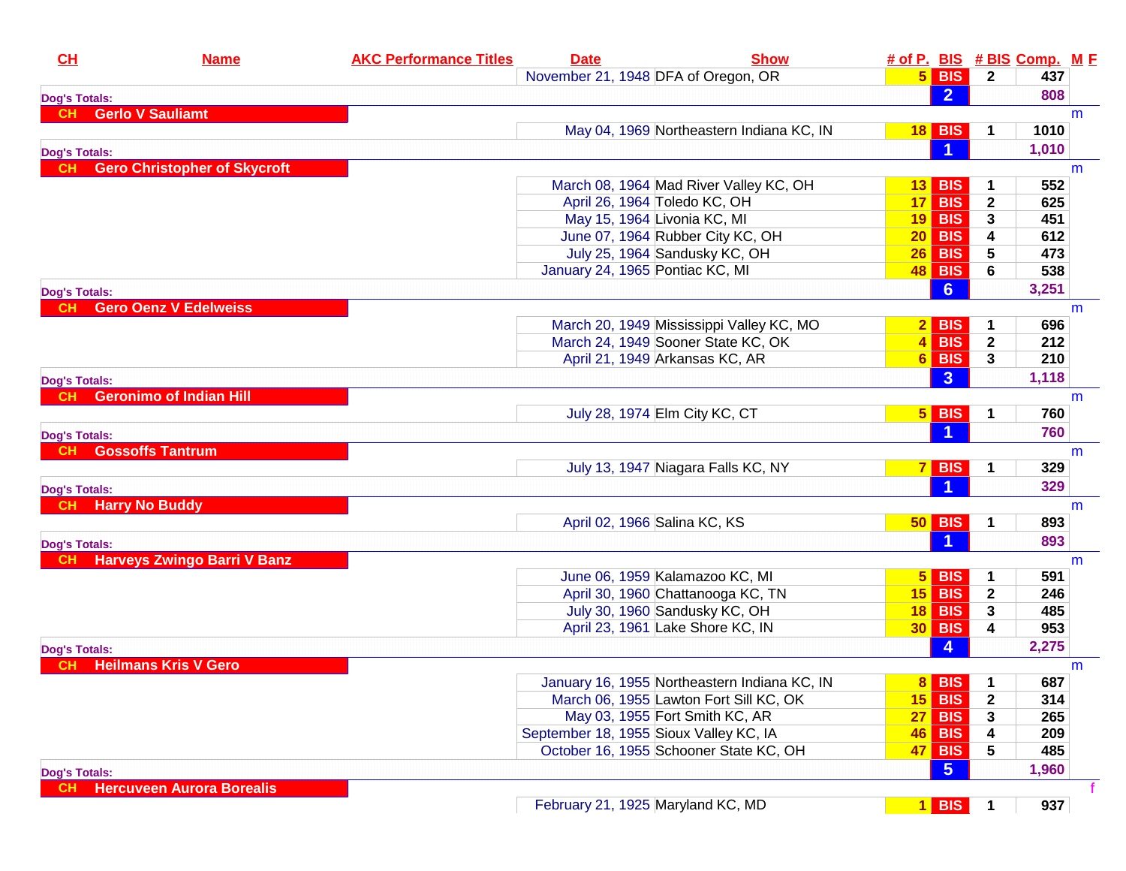| November 21, 1948 DFA of Oregon, OR<br>$5$ BIS<br>$\mathbf{2}$<br>437<br>$\overline{2}$<br>808<br><b>Dog's Totals:</b><br><b>Gerlo V Sauliamt</b><br><b>CH</b><br>m<br>May 04, 1969 Northeastern Indiana KC, IN<br>$18$ BIS<br>1010<br>1<br>1,010<br><b>Dog's Totals:</b><br><b>Gero Christopher of Skycroft</b><br>CH.<br>m<br>March 08, 1964 Mad River Valley KC, OH<br>552<br><b>BIS</b><br>13 <br>April 26, 1964 Toledo KC, OH<br>$17$ BIS<br>$\mathbf{2}$<br>625<br>May 15, 1964 Livonia KC, MI<br><b>19 BIS</b><br>3<br>451<br>June 07, 1964 Rubber City KC, OH<br>$20$ BIS<br>612<br>4<br>July 25, 1964 Sandusky KC, OH<br>$26$ BIS<br>5<br>473<br>January 24, 1965 Pontiac KC, MI<br><b>48 BIS</b><br>6<br>538<br>$6\phantom{1}6$<br>3,251<br><b>Dog's Totals:</b><br><b>Gero Oenz V Edelweiss</b><br>m<br>March 20, 1949 Mississippi Valley KC, MO<br>$2$ BIS<br>696<br>$4$ BIS<br>$\mathbf{2}$<br>March 24, 1949 Sooner State KC, OK<br>212<br>$6$ BIS<br>3<br>April 21, 1949 Arkansas KC, AR<br>210<br>3<br>1,118<br><b>Dog's Totals:</b><br><b>Geronimo of Indian Hill</b><br>m<br>July 28, 1974 Elm City KC, CT<br>$5$ BIS<br>760<br>1<br>760<br><b>Dog's Totals:</b><br><b>Gossoffs Tantrum</b><br>CH.<br>m<br>July 13, 1947 Niagara Falls KC, NY<br>$7$ BIS<br>329<br>1<br>$\blacktriangleleft$<br>329<br><b>Dog's Totals:</b><br><b>Harry No Buddy</b><br><b>CH</b><br>m<br>April 02, 1966 Salina KC, KS<br>$50$ BIS<br>893<br>893<br><b>Dog's Totals:</b><br><b>Harveys Zwingo Barri V Banz</b><br>m<br>June 06, 1959 Kalamazoo KC, MI<br>$5$ BIS<br>591<br>1<br><b>15 BIS</b><br>April 30, 1960 Chattanooga KC, TN<br>$\overline{2}$<br>246<br>July 30, 1960 Sandusky KC, OH<br>$18$ BIS<br>3<br>485<br>April 23, 1961 Lake Shore KC, IN<br>$30$ BIS<br>953<br>4<br>4<br>2,275<br><b>Dog's Totals:</b><br><b>Heilmans Kris V Gero</b><br>m<br>$8$ BIS<br>687<br>January 16, 1955 Northeastern Indiana KC, IN<br>$15$ BIS<br>$\mathbf 2$<br>March 06, 1955 Lawton Fort Sill KC, OK<br>314<br><b>27 BIS</b><br>May 03, 1955 Fort Smith KC, AR<br>265<br>3<br>September 18, 1955 Sioux Valley KC, IA<br><b>46 BIS</b><br>4<br>209<br>October 16, 1955 Schooner State KC, OH<br>47 BIS<br>5<br>485<br>$-5$<br>1,960<br><b>Dog's Totals:</b><br><b>Hercuveen Aurora Borealis</b><br>CH.<br>937<br>February 21, 1925 Maryland KC, MD<br>$1$ BIS | CL | <b>Name</b> | <b>AKC Performance Titles</b> | <b>Date</b> | <b>Show</b> |  | # of P. BIS # BIS Comp. M F |  |
|-------------------------------------------------------------------------------------------------------------------------------------------------------------------------------------------------------------------------------------------------------------------------------------------------------------------------------------------------------------------------------------------------------------------------------------------------------------------------------------------------------------------------------------------------------------------------------------------------------------------------------------------------------------------------------------------------------------------------------------------------------------------------------------------------------------------------------------------------------------------------------------------------------------------------------------------------------------------------------------------------------------------------------------------------------------------------------------------------------------------------------------------------------------------------------------------------------------------------------------------------------------------------------------------------------------------------------------------------------------------------------------------------------------------------------------------------------------------------------------------------------------------------------------------------------------------------------------------------------------------------------------------------------------------------------------------------------------------------------------------------------------------------------------------------------------------------------------------------------------------------------------------------------------------------------------------------------------------------------------------------------------------------------------------------------------------------------------------------------------------------------------------------------------------------------------------------------------------------------------------------------------------------------------------------------------------------------------------------------------|----|-------------|-------------------------------|-------------|-------------|--|-----------------------------|--|
|                                                                                                                                                                                                                                                                                                                                                                                                                                                                                                                                                                                                                                                                                                                                                                                                                                                                                                                                                                                                                                                                                                                                                                                                                                                                                                                                                                                                                                                                                                                                                                                                                                                                                                                                                                                                                                                                                                                                                                                                                                                                                                                                                                                                                                                                                                                                                             |    |             |                               |             |             |  |                             |  |
|                                                                                                                                                                                                                                                                                                                                                                                                                                                                                                                                                                                                                                                                                                                                                                                                                                                                                                                                                                                                                                                                                                                                                                                                                                                                                                                                                                                                                                                                                                                                                                                                                                                                                                                                                                                                                                                                                                                                                                                                                                                                                                                                                                                                                                                                                                                                                             |    |             |                               |             |             |  |                             |  |
|                                                                                                                                                                                                                                                                                                                                                                                                                                                                                                                                                                                                                                                                                                                                                                                                                                                                                                                                                                                                                                                                                                                                                                                                                                                                                                                                                                                                                                                                                                                                                                                                                                                                                                                                                                                                                                                                                                                                                                                                                                                                                                                                                                                                                                                                                                                                                             |    |             |                               |             |             |  |                             |  |
|                                                                                                                                                                                                                                                                                                                                                                                                                                                                                                                                                                                                                                                                                                                                                                                                                                                                                                                                                                                                                                                                                                                                                                                                                                                                                                                                                                                                                                                                                                                                                                                                                                                                                                                                                                                                                                                                                                                                                                                                                                                                                                                                                                                                                                                                                                                                                             |    |             |                               |             |             |  |                             |  |
|                                                                                                                                                                                                                                                                                                                                                                                                                                                                                                                                                                                                                                                                                                                                                                                                                                                                                                                                                                                                                                                                                                                                                                                                                                                                                                                                                                                                                                                                                                                                                                                                                                                                                                                                                                                                                                                                                                                                                                                                                                                                                                                                                                                                                                                                                                                                                             |    |             |                               |             |             |  |                             |  |
|                                                                                                                                                                                                                                                                                                                                                                                                                                                                                                                                                                                                                                                                                                                                                                                                                                                                                                                                                                                                                                                                                                                                                                                                                                                                                                                                                                                                                                                                                                                                                                                                                                                                                                                                                                                                                                                                                                                                                                                                                                                                                                                                                                                                                                                                                                                                                             |    |             |                               |             |             |  |                             |  |
|                                                                                                                                                                                                                                                                                                                                                                                                                                                                                                                                                                                                                                                                                                                                                                                                                                                                                                                                                                                                                                                                                                                                                                                                                                                                                                                                                                                                                                                                                                                                                                                                                                                                                                                                                                                                                                                                                                                                                                                                                                                                                                                                                                                                                                                                                                                                                             |    |             |                               |             |             |  |                             |  |
|                                                                                                                                                                                                                                                                                                                                                                                                                                                                                                                                                                                                                                                                                                                                                                                                                                                                                                                                                                                                                                                                                                                                                                                                                                                                                                                                                                                                                                                                                                                                                                                                                                                                                                                                                                                                                                                                                                                                                                                                                                                                                                                                                                                                                                                                                                                                                             |    |             |                               |             |             |  |                             |  |
|                                                                                                                                                                                                                                                                                                                                                                                                                                                                                                                                                                                                                                                                                                                                                                                                                                                                                                                                                                                                                                                                                                                                                                                                                                                                                                                                                                                                                                                                                                                                                                                                                                                                                                                                                                                                                                                                                                                                                                                                                                                                                                                                                                                                                                                                                                                                                             |    |             |                               |             |             |  |                             |  |
|                                                                                                                                                                                                                                                                                                                                                                                                                                                                                                                                                                                                                                                                                                                                                                                                                                                                                                                                                                                                                                                                                                                                                                                                                                                                                                                                                                                                                                                                                                                                                                                                                                                                                                                                                                                                                                                                                                                                                                                                                                                                                                                                                                                                                                                                                                                                                             |    |             |                               |             |             |  |                             |  |
|                                                                                                                                                                                                                                                                                                                                                                                                                                                                                                                                                                                                                                                                                                                                                                                                                                                                                                                                                                                                                                                                                                                                                                                                                                                                                                                                                                                                                                                                                                                                                                                                                                                                                                                                                                                                                                                                                                                                                                                                                                                                                                                                                                                                                                                                                                                                                             |    |             |                               |             |             |  |                             |  |
|                                                                                                                                                                                                                                                                                                                                                                                                                                                                                                                                                                                                                                                                                                                                                                                                                                                                                                                                                                                                                                                                                                                                                                                                                                                                                                                                                                                                                                                                                                                                                                                                                                                                                                                                                                                                                                                                                                                                                                                                                                                                                                                                                                                                                                                                                                                                                             |    |             |                               |             |             |  |                             |  |
|                                                                                                                                                                                                                                                                                                                                                                                                                                                                                                                                                                                                                                                                                                                                                                                                                                                                                                                                                                                                                                                                                                                                                                                                                                                                                                                                                                                                                                                                                                                                                                                                                                                                                                                                                                                                                                                                                                                                                                                                                                                                                                                                                                                                                                                                                                                                                             |    |             |                               |             |             |  |                             |  |
|                                                                                                                                                                                                                                                                                                                                                                                                                                                                                                                                                                                                                                                                                                                                                                                                                                                                                                                                                                                                                                                                                                                                                                                                                                                                                                                                                                                                                                                                                                                                                                                                                                                                                                                                                                                                                                                                                                                                                                                                                                                                                                                                                                                                                                                                                                                                                             |    |             |                               |             |             |  |                             |  |
|                                                                                                                                                                                                                                                                                                                                                                                                                                                                                                                                                                                                                                                                                                                                                                                                                                                                                                                                                                                                                                                                                                                                                                                                                                                                                                                                                                                                                                                                                                                                                                                                                                                                                                                                                                                                                                                                                                                                                                                                                                                                                                                                                                                                                                                                                                                                                             |    |             |                               |             |             |  |                             |  |
|                                                                                                                                                                                                                                                                                                                                                                                                                                                                                                                                                                                                                                                                                                                                                                                                                                                                                                                                                                                                                                                                                                                                                                                                                                                                                                                                                                                                                                                                                                                                                                                                                                                                                                                                                                                                                                                                                                                                                                                                                                                                                                                                                                                                                                                                                                                                                             |    |             |                               |             |             |  |                             |  |
|                                                                                                                                                                                                                                                                                                                                                                                                                                                                                                                                                                                                                                                                                                                                                                                                                                                                                                                                                                                                                                                                                                                                                                                                                                                                                                                                                                                                                                                                                                                                                                                                                                                                                                                                                                                                                                                                                                                                                                                                                                                                                                                                                                                                                                                                                                                                                             |    |             |                               |             |             |  |                             |  |
|                                                                                                                                                                                                                                                                                                                                                                                                                                                                                                                                                                                                                                                                                                                                                                                                                                                                                                                                                                                                                                                                                                                                                                                                                                                                                                                                                                                                                                                                                                                                                                                                                                                                                                                                                                                                                                                                                                                                                                                                                                                                                                                                                                                                                                                                                                                                                             |    |             |                               |             |             |  |                             |  |
|                                                                                                                                                                                                                                                                                                                                                                                                                                                                                                                                                                                                                                                                                                                                                                                                                                                                                                                                                                                                                                                                                                                                                                                                                                                                                                                                                                                                                                                                                                                                                                                                                                                                                                                                                                                                                                                                                                                                                                                                                                                                                                                                                                                                                                                                                                                                                             |    |             |                               |             |             |  |                             |  |
|                                                                                                                                                                                                                                                                                                                                                                                                                                                                                                                                                                                                                                                                                                                                                                                                                                                                                                                                                                                                                                                                                                                                                                                                                                                                                                                                                                                                                                                                                                                                                                                                                                                                                                                                                                                                                                                                                                                                                                                                                                                                                                                                                                                                                                                                                                                                                             |    |             |                               |             |             |  |                             |  |
|                                                                                                                                                                                                                                                                                                                                                                                                                                                                                                                                                                                                                                                                                                                                                                                                                                                                                                                                                                                                                                                                                                                                                                                                                                                                                                                                                                                                                                                                                                                                                                                                                                                                                                                                                                                                                                                                                                                                                                                                                                                                                                                                                                                                                                                                                                                                                             |    |             |                               |             |             |  |                             |  |
|                                                                                                                                                                                                                                                                                                                                                                                                                                                                                                                                                                                                                                                                                                                                                                                                                                                                                                                                                                                                                                                                                                                                                                                                                                                                                                                                                                                                                                                                                                                                                                                                                                                                                                                                                                                                                                                                                                                                                                                                                                                                                                                                                                                                                                                                                                                                                             |    |             |                               |             |             |  |                             |  |
|                                                                                                                                                                                                                                                                                                                                                                                                                                                                                                                                                                                                                                                                                                                                                                                                                                                                                                                                                                                                                                                                                                                                                                                                                                                                                                                                                                                                                                                                                                                                                                                                                                                                                                                                                                                                                                                                                                                                                                                                                                                                                                                                                                                                                                                                                                                                                             |    |             |                               |             |             |  |                             |  |
|                                                                                                                                                                                                                                                                                                                                                                                                                                                                                                                                                                                                                                                                                                                                                                                                                                                                                                                                                                                                                                                                                                                                                                                                                                                                                                                                                                                                                                                                                                                                                                                                                                                                                                                                                                                                                                                                                                                                                                                                                                                                                                                                                                                                                                                                                                                                                             |    |             |                               |             |             |  |                             |  |
|                                                                                                                                                                                                                                                                                                                                                                                                                                                                                                                                                                                                                                                                                                                                                                                                                                                                                                                                                                                                                                                                                                                                                                                                                                                                                                                                                                                                                                                                                                                                                                                                                                                                                                                                                                                                                                                                                                                                                                                                                                                                                                                                                                                                                                                                                                                                                             |    |             |                               |             |             |  |                             |  |
|                                                                                                                                                                                                                                                                                                                                                                                                                                                                                                                                                                                                                                                                                                                                                                                                                                                                                                                                                                                                                                                                                                                                                                                                                                                                                                                                                                                                                                                                                                                                                                                                                                                                                                                                                                                                                                                                                                                                                                                                                                                                                                                                                                                                                                                                                                                                                             |    |             |                               |             |             |  |                             |  |
|                                                                                                                                                                                                                                                                                                                                                                                                                                                                                                                                                                                                                                                                                                                                                                                                                                                                                                                                                                                                                                                                                                                                                                                                                                                                                                                                                                                                                                                                                                                                                                                                                                                                                                                                                                                                                                                                                                                                                                                                                                                                                                                                                                                                                                                                                                                                                             |    |             |                               |             |             |  |                             |  |
|                                                                                                                                                                                                                                                                                                                                                                                                                                                                                                                                                                                                                                                                                                                                                                                                                                                                                                                                                                                                                                                                                                                                                                                                                                                                                                                                                                                                                                                                                                                                                                                                                                                                                                                                                                                                                                                                                                                                                                                                                                                                                                                                                                                                                                                                                                                                                             |    |             |                               |             |             |  |                             |  |
|                                                                                                                                                                                                                                                                                                                                                                                                                                                                                                                                                                                                                                                                                                                                                                                                                                                                                                                                                                                                                                                                                                                                                                                                                                                                                                                                                                                                                                                                                                                                                                                                                                                                                                                                                                                                                                                                                                                                                                                                                                                                                                                                                                                                                                                                                                                                                             |    |             |                               |             |             |  |                             |  |
|                                                                                                                                                                                                                                                                                                                                                                                                                                                                                                                                                                                                                                                                                                                                                                                                                                                                                                                                                                                                                                                                                                                                                                                                                                                                                                                                                                                                                                                                                                                                                                                                                                                                                                                                                                                                                                                                                                                                                                                                                                                                                                                                                                                                                                                                                                                                                             |    |             |                               |             |             |  |                             |  |
|                                                                                                                                                                                                                                                                                                                                                                                                                                                                                                                                                                                                                                                                                                                                                                                                                                                                                                                                                                                                                                                                                                                                                                                                                                                                                                                                                                                                                                                                                                                                                                                                                                                                                                                                                                                                                                                                                                                                                                                                                                                                                                                                                                                                                                                                                                                                                             |    |             |                               |             |             |  |                             |  |
|                                                                                                                                                                                                                                                                                                                                                                                                                                                                                                                                                                                                                                                                                                                                                                                                                                                                                                                                                                                                                                                                                                                                                                                                                                                                                                                                                                                                                                                                                                                                                                                                                                                                                                                                                                                                                                                                                                                                                                                                                                                                                                                                                                                                                                                                                                                                                             |    |             |                               |             |             |  |                             |  |
|                                                                                                                                                                                                                                                                                                                                                                                                                                                                                                                                                                                                                                                                                                                                                                                                                                                                                                                                                                                                                                                                                                                                                                                                                                                                                                                                                                                                                                                                                                                                                                                                                                                                                                                                                                                                                                                                                                                                                                                                                                                                                                                                                                                                                                                                                                                                                             |    |             |                               |             |             |  |                             |  |
|                                                                                                                                                                                                                                                                                                                                                                                                                                                                                                                                                                                                                                                                                                                                                                                                                                                                                                                                                                                                                                                                                                                                                                                                                                                                                                                                                                                                                                                                                                                                                                                                                                                                                                                                                                                                                                                                                                                                                                                                                                                                                                                                                                                                                                                                                                                                                             |    |             |                               |             |             |  |                             |  |
|                                                                                                                                                                                                                                                                                                                                                                                                                                                                                                                                                                                                                                                                                                                                                                                                                                                                                                                                                                                                                                                                                                                                                                                                                                                                                                                                                                                                                                                                                                                                                                                                                                                                                                                                                                                                                                                                                                                                                                                                                                                                                                                                                                                                                                                                                                                                                             |    |             |                               |             |             |  |                             |  |
|                                                                                                                                                                                                                                                                                                                                                                                                                                                                                                                                                                                                                                                                                                                                                                                                                                                                                                                                                                                                                                                                                                                                                                                                                                                                                                                                                                                                                                                                                                                                                                                                                                                                                                                                                                                                                                                                                                                                                                                                                                                                                                                                                                                                                                                                                                                                                             |    |             |                               |             |             |  |                             |  |
|                                                                                                                                                                                                                                                                                                                                                                                                                                                                                                                                                                                                                                                                                                                                                                                                                                                                                                                                                                                                                                                                                                                                                                                                                                                                                                                                                                                                                                                                                                                                                                                                                                                                                                                                                                                                                                                                                                                                                                                                                                                                                                                                                                                                                                                                                                                                                             |    |             |                               |             |             |  |                             |  |
|                                                                                                                                                                                                                                                                                                                                                                                                                                                                                                                                                                                                                                                                                                                                                                                                                                                                                                                                                                                                                                                                                                                                                                                                                                                                                                                                                                                                                                                                                                                                                                                                                                                                                                                                                                                                                                                                                                                                                                                                                                                                                                                                                                                                                                                                                                                                                             |    |             |                               |             |             |  |                             |  |
|                                                                                                                                                                                                                                                                                                                                                                                                                                                                                                                                                                                                                                                                                                                                                                                                                                                                                                                                                                                                                                                                                                                                                                                                                                                                                                                                                                                                                                                                                                                                                                                                                                                                                                                                                                                                                                                                                                                                                                                                                                                                                                                                                                                                                                                                                                                                                             |    |             |                               |             |             |  |                             |  |
|                                                                                                                                                                                                                                                                                                                                                                                                                                                                                                                                                                                                                                                                                                                                                                                                                                                                                                                                                                                                                                                                                                                                                                                                                                                                                                                                                                                                                                                                                                                                                                                                                                                                                                                                                                                                                                                                                                                                                                                                                                                                                                                                                                                                                                                                                                                                                             |    |             |                               |             |             |  |                             |  |
|                                                                                                                                                                                                                                                                                                                                                                                                                                                                                                                                                                                                                                                                                                                                                                                                                                                                                                                                                                                                                                                                                                                                                                                                                                                                                                                                                                                                                                                                                                                                                                                                                                                                                                                                                                                                                                                                                                                                                                                                                                                                                                                                                                                                                                                                                                                                                             |    |             |                               |             |             |  |                             |  |
|                                                                                                                                                                                                                                                                                                                                                                                                                                                                                                                                                                                                                                                                                                                                                                                                                                                                                                                                                                                                                                                                                                                                                                                                                                                                                                                                                                                                                                                                                                                                                                                                                                                                                                                                                                                                                                                                                                                                                                                                                                                                                                                                                                                                                                                                                                                                                             |    |             |                               |             |             |  |                             |  |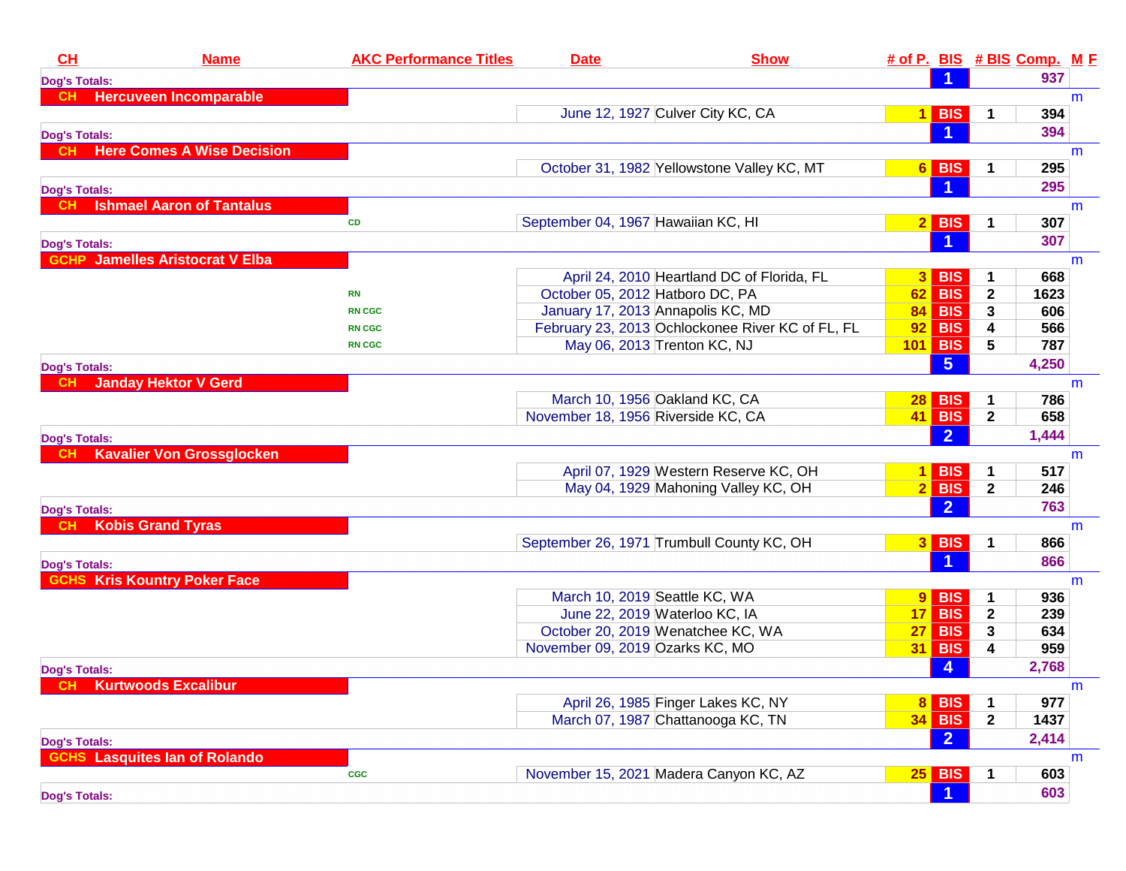| CH                   | <b>Name</b>                            | <b>AKC Performance Titles</b> | <b>Date</b>                        | <b>Show</b>                                      |                 |                      |              | # of P. BIS # BIS Comp. M F |   |
|----------------------|----------------------------------------|-------------------------------|------------------------------------|--------------------------------------------------|-----------------|----------------------|--------------|-----------------------------|---|
| <b>Dog's Totals:</b> |                                        |                               |                                    |                                                  |                 |                      |              | 937                         |   |
| CH.                  | <b>Hercuveen Incomparable</b>          |                               |                                    |                                                  |                 |                      |              |                             | m |
|                      |                                        |                               |                                    | June 12, 1927 Culver City KC, CA                 |                 | $1$ BIS              | 1            | 394                         |   |
| <b>Dog's Totals:</b> |                                        |                               |                                    |                                                  |                 | -1                   |              | 394                         |   |
| <b>CH</b>            | <b>Here Comes A Wise Decision</b>      |                               |                                    |                                                  |                 |                      |              |                             | m |
|                      |                                        |                               |                                    | October 31, 1982 Yellowstone Valley KC, MT       |                 | $6$ BIS              | 1            | 295                         |   |
| <b>Dog's Totals:</b> |                                        |                               |                                    |                                                  |                 |                      |              | 295                         |   |
| <b>CH</b>            | <b>Ishmael Aaron of Tantalus</b>       |                               |                                    |                                                  |                 |                      |              |                             | m |
|                      |                                        | <b>CD</b>                     | September 04, 1967 Hawaiian KC, HI |                                                  |                 | $2$ BIS              | 1            | 307                         |   |
| <b>Dog's Totals:</b> |                                        |                               |                                    |                                                  |                 |                      |              | 307                         |   |
|                      | <b>GCHP</b> Jamelles Aristocrat V Elba |                               |                                    |                                                  |                 |                      |              |                             | m |
|                      |                                        |                               |                                    | April 24, 2010 Heartland DC of Florida, FL       |                 | $3$ BIS              | 1            | 668                         |   |
|                      |                                        | <b>RN</b>                     | October 05, 2012 Hatboro DC, PA    |                                                  |                 | $62$ BIS             | $\mathbf{2}$ | 1623                        |   |
|                      |                                        | <b>RN CGC</b>                 | January 17, 2013 Annapolis KC, MD  |                                                  |                 | <b>84 BIS</b>        | 3            | 606                         |   |
|                      |                                        | <b>RN CGC</b>                 |                                    | February 23, 2013 Ochlockonee River KC of FL, FL | 92              | <b>BIS</b>           | 4            | 566                         |   |
|                      |                                        | <b>RN CGC</b>                 | May 06, 2013 Trenton KC, NJ        |                                                  |                 | $101$ BIS            | 5            | 787                         |   |
| <b>Dog's Totals:</b> |                                        |                               |                                    |                                                  |                 | 5 <sup>5</sup>       |              | 4,250                       |   |
| -CH.                 | <b>Janday Hektor V Gerd</b>            |                               |                                    |                                                  |                 |                      |              |                             | m |
|                      |                                        |                               | March 10, 1956 Oakland KC, CA      |                                                  | 28 <sub>1</sub> | <b>BIS</b>           | 1            | 786                         |   |
|                      |                                        |                               | November 18, 1956 Riverside KC, CA |                                                  |                 | 41 BIS               | $\mathbf{2}$ | 658                         |   |
| <b>Dog's Totals:</b> |                                        |                               |                                    |                                                  |                 | $\overline{2}$       |              | 1,444                       |   |
| <b>CH</b>            | <b>Kavalier Von Grossglocken</b>       |                               |                                    |                                                  |                 |                      |              |                             | m |
|                      |                                        |                               |                                    | April 07, 1929 Western Reserve KC, OH            |                 | $1$ BIS              | 1            | 517                         |   |
|                      |                                        |                               |                                    | May 04, 1929 Mahoning Valley KC, OH              |                 | $2$ BIS              | $\mathbf{2}$ | 246                         |   |
| <b>Dog's Totals:</b> |                                        |                               |                                    |                                                  |                 | $\overline{2}$       |              | 763                         |   |
| <b>CH</b>            | <b>Kobis Grand Tyras</b>               |                               |                                    |                                                  |                 |                      |              |                             | m |
|                      |                                        |                               |                                    | September 26, 1971 Trumbull County KC, OH        |                 | $3$ BIS              | 1            | 866                         |   |
|                      |                                        |                               |                                    |                                                  |                 | $\blacktriangleleft$ |              | 866                         |   |
| <b>Dog's Totals:</b> | <b>GCHS Kris Kountry Poker Face</b>    |                               |                                    |                                                  |                 |                      |              |                             | m |
|                      |                                        |                               | March 10, 2019 Seattle KC, WA      |                                                  |                 | $9$ BIS              | 1            | 936                         |   |
|                      |                                        |                               | June 22, 2019 Waterloo KC, IA      |                                                  |                 | $17$ BIS             | $\mathbf{2}$ | 239                         |   |
|                      |                                        |                               |                                    | October 20, 2019 Wenatchee KC, WA                |                 | $27$ BIS             | 3            | 634                         |   |
|                      |                                        |                               | November 09, 2019 Ozarks KC, MO    |                                                  |                 | <b>31 BIS</b>        | 4            | 959                         |   |
|                      |                                        |                               |                                    |                                                  |                 | 4                    |              | 2,768                       |   |
| Dog's Totals:        | <b>CH</b> Kurtwoods Excalibur          |                               |                                    |                                                  |                 |                      |              |                             | m |
|                      |                                        |                               |                                    | April 26, 1985 Finger Lakes KC, NY               |                 | 8 BIS                | 1            | 977                         |   |
|                      |                                        |                               |                                    | March 07, 1987 Chattanooga KC, TN                |                 | <b>34 BIS</b>        | $\mathbf{2}$ | 1437                        |   |
|                      |                                        |                               |                                    |                                                  |                 | 2 <sup>1</sup>       |              | 2,414                       |   |
| <b>Dog's Totals:</b> | <b>GCHS</b> Lasquites lan of Rolando   |                               |                                    |                                                  |                 |                      |              |                             | m |
|                      |                                        | $_{\rm cgc}$                  |                                    | November 15, 2021 Madera Canyon KC, AZ           |                 | $25$ BIS             | 1            | 603                         |   |
|                      |                                        |                               |                                    |                                                  |                 |                      |              | 603                         |   |
| <b>Dog's Totals:</b> |                                        |                               |                                    |                                                  |                 | $\vert$ 1            |              |                             |   |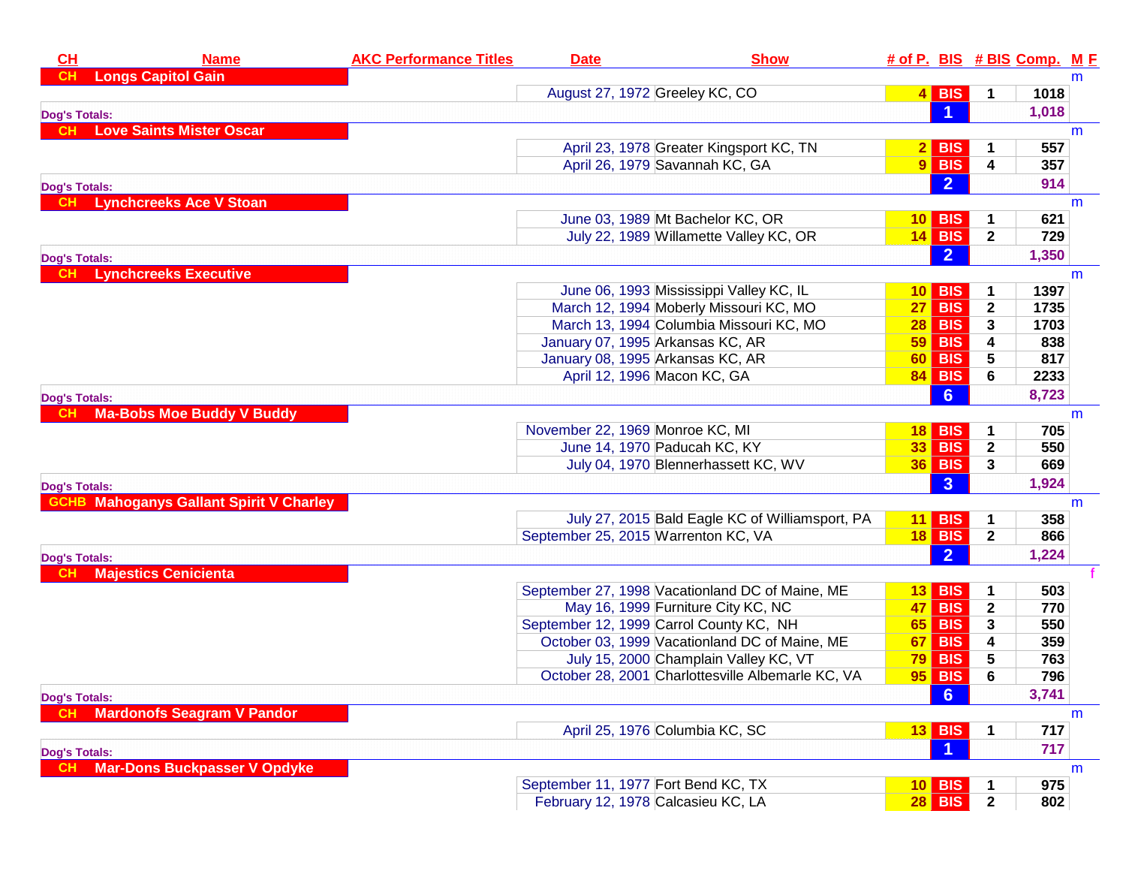| <b>Longs Capitol Gain</b><br>CH<br>m<br>$4$ BIS<br>August 27, 1972 Greeley KC, CO<br>1018<br>1<br>$\blacktriangleleft$<br>1,018<br><b>Dog's Totals:</b><br><b>Love Saints Mister Oscar</b><br><b>CH</b><br>m<br>April 23, 1978 Greater Kingsport KC, TN<br>$2$ BIS<br>557<br>1<br>$9$ BIS<br>April 26, 1979 Savannah KC, GA<br>4<br>357<br>2 <sup>1</sup><br>914<br><b>Dog's Totals:</b><br><b>CH</b> Lynchcreeks Ace V Stoan<br>m<br>June 03, 1989 Mt Bachelor KC, OR<br>$10$ BIS<br>621<br>July 22, 1989 Willamette Valley KC, OR<br>$14$ BIS<br>$\mathbf{2}$<br>729<br>2 <sup>1</sup><br>1,350<br><b>Dog's Totals:</b><br><b>Lynchcreeks Executive</b><br>m<br>1397<br>June 06, 1993 Mississippi Valley KC, IL<br><b>BIS</b><br>10 <sub>l</sub><br>March 12, 1994 Moberly Missouri KC, MO<br><b>BIS</b><br>$\mathbf 2$<br>1735<br>27 <br>March 13, 1994 Columbia Missouri KC, MO<br><b>BIS</b><br>3<br>1703<br>28 <br>4<br>January 07, 1995 Arkansas KC, AR<br>59 <br><b>BIS</b><br>838<br>5<br>January 08, 1995 Arkansas KC, AR<br><b>BIS</b><br>817<br>60<br>6<br>April 12, 1996 Macon KC, GA<br><b>84 BIS</b><br>2233<br>6 <sup>°</sup><br>8,723<br><b>Dog's Totals:</b><br><b>Ma-Bobs Moe Buddy V Buddy</b><br>m<br>November 22, 1969 Monroe KC, MI<br>$18$ BIS<br>705<br>1<br><b>33 BIS</b><br>June 14, 1970 Paducah KC, KY<br>$\mathbf{2}$<br>550<br>July 04, 1970 Blennerhassett KC, WV<br>$36$ BIS<br>669<br>3<br>3 <sup>1</sup><br>1,924<br><b>Dog's Totals:</b><br><b>GCHB Mahoganys Gallant Spirit V Charley</b><br>m<br>July 27, 2015 Bald Eagle KC of Williamsport, PA<br>$11$ BIS<br>358<br>1<br><b>18 BIS</b><br>$\mathbf{2}$<br>September 25, 2015 Warrenton KC, VA<br>866<br>$\overline{2}$<br>1,224<br><b>Dog's Totals:</b><br><b>Majestics Cenicienta</b><br><b>CH</b><br>September 27, 1998 Vacationland DC of Maine, ME<br><b>BIS</b><br>503<br>13 I<br><b>BIS</b><br>$\mathbf 2$<br>May 16, 1999 Furniture City KC, NC<br>770<br><b>47</b> l<br>September 12, 1999 Carrol County KC, NH<br><b>BIS</b><br>3<br>550<br>65 <br>October 03, 1999 Vacationland DC of Maine, ME<br><b>BIS</b><br>4<br>359<br>67<br>July 15, 2000 Champlain Valley KC, VT<br>$79$ BIS<br>5<br>763<br><b>95 BIS</b><br>October 28, 2001 Charlottesville Albemarle KC, VA<br>6<br>796<br>6<br>3,741<br><b>Dog's Totals:</b><br><b>Mardonofs Seagram V Pandor</b><br>m<br>April 25, 1976 Columbia KC, SC<br><b>13 BIS</b><br>717<br>1<br>717<br><b>Dog's Totals:</b><br><b>Mar-Dons Buckpasser V Opdyke</b><br>m<br>10 BIS<br>975<br>September 11, 1977 Fort Bend KC, TX<br><b>28 BIS</b><br>February 12, 1978 Calcasieu KC, LA<br>$\overline{2}$<br>802 | CH | <b>Name</b> | <b>AKC Performance Titles</b> | <b>Date</b> | <b>Show</b> |  | # of P. BIS # BIS Comp. M F |  |
|---------------------------------------------------------------------------------------------------------------------------------------------------------------------------------------------------------------------------------------------------------------------------------------------------------------------------------------------------------------------------------------------------------------------------------------------------------------------------------------------------------------------------------------------------------------------------------------------------------------------------------------------------------------------------------------------------------------------------------------------------------------------------------------------------------------------------------------------------------------------------------------------------------------------------------------------------------------------------------------------------------------------------------------------------------------------------------------------------------------------------------------------------------------------------------------------------------------------------------------------------------------------------------------------------------------------------------------------------------------------------------------------------------------------------------------------------------------------------------------------------------------------------------------------------------------------------------------------------------------------------------------------------------------------------------------------------------------------------------------------------------------------------------------------------------------------------------------------------------------------------------------------------------------------------------------------------------------------------------------------------------------------------------------------------------------------------------------------------------------------------------------------------------------------------------------------------------------------------------------------------------------------------------------------------------------------------------------------------------------------------------------------------------------------------------------------------------------------------------------------------------------------------------------------------------------------------------------------------------------------------------------------------------|----|-------------|-------------------------------|-------------|-------------|--|-----------------------------|--|
|                                                                                                                                                                                                                                                                                                                                                                                                                                                                                                                                                                                                                                                                                                                                                                                                                                                                                                                                                                                                                                                                                                                                                                                                                                                                                                                                                                                                                                                                                                                                                                                                                                                                                                                                                                                                                                                                                                                                                                                                                                                                                                                                                                                                                                                                                                                                                                                                                                                                                                                                                                                                                                                         |    |             |                               |             |             |  |                             |  |
|                                                                                                                                                                                                                                                                                                                                                                                                                                                                                                                                                                                                                                                                                                                                                                                                                                                                                                                                                                                                                                                                                                                                                                                                                                                                                                                                                                                                                                                                                                                                                                                                                                                                                                                                                                                                                                                                                                                                                                                                                                                                                                                                                                                                                                                                                                                                                                                                                                                                                                                                                                                                                                                         |    |             |                               |             |             |  |                             |  |
|                                                                                                                                                                                                                                                                                                                                                                                                                                                                                                                                                                                                                                                                                                                                                                                                                                                                                                                                                                                                                                                                                                                                                                                                                                                                                                                                                                                                                                                                                                                                                                                                                                                                                                                                                                                                                                                                                                                                                                                                                                                                                                                                                                                                                                                                                                                                                                                                                                                                                                                                                                                                                                                         |    |             |                               |             |             |  |                             |  |
|                                                                                                                                                                                                                                                                                                                                                                                                                                                                                                                                                                                                                                                                                                                                                                                                                                                                                                                                                                                                                                                                                                                                                                                                                                                                                                                                                                                                                                                                                                                                                                                                                                                                                                                                                                                                                                                                                                                                                                                                                                                                                                                                                                                                                                                                                                                                                                                                                                                                                                                                                                                                                                                         |    |             |                               |             |             |  |                             |  |
|                                                                                                                                                                                                                                                                                                                                                                                                                                                                                                                                                                                                                                                                                                                                                                                                                                                                                                                                                                                                                                                                                                                                                                                                                                                                                                                                                                                                                                                                                                                                                                                                                                                                                                                                                                                                                                                                                                                                                                                                                                                                                                                                                                                                                                                                                                                                                                                                                                                                                                                                                                                                                                                         |    |             |                               |             |             |  |                             |  |
|                                                                                                                                                                                                                                                                                                                                                                                                                                                                                                                                                                                                                                                                                                                                                                                                                                                                                                                                                                                                                                                                                                                                                                                                                                                                                                                                                                                                                                                                                                                                                                                                                                                                                                                                                                                                                                                                                                                                                                                                                                                                                                                                                                                                                                                                                                                                                                                                                                                                                                                                                                                                                                                         |    |             |                               |             |             |  |                             |  |
|                                                                                                                                                                                                                                                                                                                                                                                                                                                                                                                                                                                                                                                                                                                                                                                                                                                                                                                                                                                                                                                                                                                                                                                                                                                                                                                                                                                                                                                                                                                                                                                                                                                                                                                                                                                                                                                                                                                                                                                                                                                                                                                                                                                                                                                                                                                                                                                                                                                                                                                                                                                                                                                         |    |             |                               |             |             |  |                             |  |
|                                                                                                                                                                                                                                                                                                                                                                                                                                                                                                                                                                                                                                                                                                                                                                                                                                                                                                                                                                                                                                                                                                                                                                                                                                                                                                                                                                                                                                                                                                                                                                                                                                                                                                                                                                                                                                                                                                                                                                                                                                                                                                                                                                                                                                                                                                                                                                                                                                                                                                                                                                                                                                                         |    |             |                               |             |             |  |                             |  |
|                                                                                                                                                                                                                                                                                                                                                                                                                                                                                                                                                                                                                                                                                                                                                                                                                                                                                                                                                                                                                                                                                                                                                                                                                                                                                                                                                                                                                                                                                                                                                                                                                                                                                                                                                                                                                                                                                                                                                                                                                                                                                                                                                                                                                                                                                                                                                                                                                                                                                                                                                                                                                                                         |    |             |                               |             |             |  |                             |  |
|                                                                                                                                                                                                                                                                                                                                                                                                                                                                                                                                                                                                                                                                                                                                                                                                                                                                                                                                                                                                                                                                                                                                                                                                                                                                                                                                                                                                                                                                                                                                                                                                                                                                                                                                                                                                                                                                                                                                                                                                                                                                                                                                                                                                                                                                                                                                                                                                                                                                                                                                                                                                                                                         |    |             |                               |             |             |  |                             |  |
|                                                                                                                                                                                                                                                                                                                                                                                                                                                                                                                                                                                                                                                                                                                                                                                                                                                                                                                                                                                                                                                                                                                                                                                                                                                                                                                                                                                                                                                                                                                                                                                                                                                                                                                                                                                                                                                                                                                                                                                                                                                                                                                                                                                                                                                                                                                                                                                                                                                                                                                                                                                                                                                         |    |             |                               |             |             |  |                             |  |
|                                                                                                                                                                                                                                                                                                                                                                                                                                                                                                                                                                                                                                                                                                                                                                                                                                                                                                                                                                                                                                                                                                                                                                                                                                                                                                                                                                                                                                                                                                                                                                                                                                                                                                                                                                                                                                                                                                                                                                                                                                                                                                                                                                                                                                                                                                                                                                                                                                                                                                                                                                                                                                                         |    |             |                               |             |             |  |                             |  |
|                                                                                                                                                                                                                                                                                                                                                                                                                                                                                                                                                                                                                                                                                                                                                                                                                                                                                                                                                                                                                                                                                                                                                                                                                                                                                                                                                                                                                                                                                                                                                                                                                                                                                                                                                                                                                                                                                                                                                                                                                                                                                                                                                                                                                                                                                                                                                                                                                                                                                                                                                                                                                                                         |    |             |                               |             |             |  |                             |  |
|                                                                                                                                                                                                                                                                                                                                                                                                                                                                                                                                                                                                                                                                                                                                                                                                                                                                                                                                                                                                                                                                                                                                                                                                                                                                                                                                                                                                                                                                                                                                                                                                                                                                                                                                                                                                                                                                                                                                                                                                                                                                                                                                                                                                                                                                                                                                                                                                                                                                                                                                                                                                                                                         |    |             |                               |             |             |  |                             |  |
|                                                                                                                                                                                                                                                                                                                                                                                                                                                                                                                                                                                                                                                                                                                                                                                                                                                                                                                                                                                                                                                                                                                                                                                                                                                                                                                                                                                                                                                                                                                                                                                                                                                                                                                                                                                                                                                                                                                                                                                                                                                                                                                                                                                                                                                                                                                                                                                                                                                                                                                                                                                                                                                         |    |             |                               |             |             |  |                             |  |
|                                                                                                                                                                                                                                                                                                                                                                                                                                                                                                                                                                                                                                                                                                                                                                                                                                                                                                                                                                                                                                                                                                                                                                                                                                                                                                                                                                                                                                                                                                                                                                                                                                                                                                                                                                                                                                                                                                                                                                                                                                                                                                                                                                                                                                                                                                                                                                                                                                                                                                                                                                                                                                                         |    |             |                               |             |             |  |                             |  |
|                                                                                                                                                                                                                                                                                                                                                                                                                                                                                                                                                                                                                                                                                                                                                                                                                                                                                                                                                                                                                                                                                                                                                                                                                                                                                                                                                                                                                                                                                                                                                                                                                                                                                                                                                                                                                                                                                                                                                                                                                                                                                                                                                                                                                                                                                                                                                                                                                                                                                                                                                                                                                                                         |    |             |                               |             |             |  |                             |  |
|                                                                                                                                                                                                                                                                                                                                                                                                                                                                                                                                                                                                                                                                                                                                                                                                                                                                                                                                                                                                                                                                                                                                                                                                                                                                                                                                                                                                                                                                                                                                                                                                                                                                                                                                                                                                                                                                                                                                                                                                                                                                                                                                                                                                                                                                                                                                                                                                                                                                                                                                                                                                                                                         |    |             |                               |             |             |  |                             |  |
|                                                                                                                                                                                                                                                                                                                                                                                                                                                                                                                                                                                                                                                                                                                                                                                                                                                                                                                                                                                                                                                                                                                                                                                                                                                                                                                                                                                                                                                                                                                                                                                                                                                                                                                                                                                                                                                                                                                                                                                                                                                                                                                                                                                                                                                                                                                                                                                                                                                                                                                                                                                                                                                         |    |             |                               |             |             |  |                             |  |
|                                                                                                                                                                                                                                                                                                                                                                                                                                                                                                                                                                                                                                                                                                                                                                                                                                                                                                                                                                                                                                                                                                                                                                                                                                                                                                                                                                                                                                                                                                                                                                                                                                                                                                                                                                                                                                                                                                                                                                                                                                                                                                                                                                                                                                                                                                                                                                                                                                                                                                                                                                                                                                                         |    |             |                               |             |             |  |                             |  |
|                                                                                                                                                                                                                                                                                                                                                                                                                                                                                                                                                                                                                                                                                                                                                                                                                                                                                                                                                                                                                                                                                                                                                                                                                                                                                                                                                                                                                                                                                                                                                                                                                                                                                                                                                                                                                                                                                                                                                                                                                                                                                                                                                                                                                                                                                                                                                                                                                                                                                                                                                                                                                                                         |    |             |                               |             |             |  |                             |  |
|                                                                                                                                                                                                                                                                                                                                                                                                                                                                                                                                                                                                                                                                                                                                                                                                                                                                                                                                                                                                                                                                                                                                                                                                                                                                                                                                                                                                                                                                                                                                                                                                                                                                                                                                                                                                                                                                                                                                                                                                                                                                                                                                                                                                                                                                                                                                                                                                                                                                                                                                                                                                                                                         |    |             |                               |             |             |  |                             |  |
|                                                                                                                                                                                                                                                                                                                                                                                                                                                                                                                                                                                                                                                                                                                                                                                                                                                                                                                                                                                                                                                                                                                                                                                                                                                                                                                                                                                                                                                                                                                                                                                                                                                                                                                                                                                                                                                                                                                                                                                                                                                                                                                                                                                                                                                                                                                                                                                                                                                                                                                                                                                                                                                         |    |             |                               |             |             |  |                             |  |
|                                                                                                                                                                                                                                                                                                                                                                                                                                                                                                                                                                                                                                                                                                                                                                                                                                                                                                                                                                                                                                                                                                                                                                                                                                                                                                                                                                                                                                                                                                                                                                                                                                                                                                                                                                                                                                                                                                                                                                                                                                                                                                                                                                                                                                                                                                                                                                                                                                                                                                                                                                                                                                                         |    |             |                               |             |             |  |                             |  |
|                                                                                                                                                                                                                                                                                                                                                                                                                                                                                                                                                                                                                                                                                                                                                                                                                                                                                                                                                                                                                                                                                                                                                                                                                                                                                                                                                                                                                                                                                                                                                                                                                                                                                                                                                                                                                                                                                                                                                                                                                                                                                                                                                                                                                                                                                                                                                                                                                                                                                                                                                                                                                                                         |    |             |                               |             |             |  |                             |  |
|                                                                                                                                                                                                                                                                                                                                                                                                                                                                                                                                                                                                                                                                                                                                                                                                                                                                                                                                                                                                                                                                                                                                                                                                                                                                                                                                                                                                                                                                                                                                                                                                                                                                                                                                                                                                                                                                                                                                                                                                                                                                                                                                                                                                                                                                                                                                                                                                                                                                                                                                                                                                                                                         |    |             |                               |             |             |  |                             |  |
|                                                                                                                                                                                                                                                                                                                                                                                                                                                                                                                                                                                                                                                                                                                                                                                                                                                                                                                                                                                                                                                                                                                                                                                                                                                                                                                                                                                                                                                                                                                                                                                                                                                                                                                                                                                                                                                                                                                                                                                                                                                                                                                                                                                                                                                                                                                                                                                                                                                                                                                                                                                                                                                         |    |             |                               |             |             |  |                             |  |
|                                                                                                                                                                                                                                                                                                                                                                                                                                                                                                                                                                                                                                                                                                                                                                                                                                                                                                                                                                                                                                                                                                                                                                                                                                                                                                                                                                                                                                                                                                                                                                                                                                                                                                                                                                                                                                                                                                                                                                                                                                                                                                                                                                                                                                                                                                                                                                                                                                                                                                                                                                                                                                                         |    |             |                               |             |             |  |                             |  |
|                                                                                                                                                                                                                                                                                                                                                                                                                                                                                                                                                                                                                                                                                                                                                                                                                                                                                                                                                                                                                                                                                                                                                                                                                                                                                                                                                                                                                                                                                                                                                                                                                                                                                                                                                                                                                                                                                                                                                                                                                                                                                                                                                                                                                                                                                                                                                                                                                                                                                                                                                                                                                                                         |    |             |                               |             |             |  |                             |  |
|                                                                                                                                                                                                                                                                                                                                                                                                                                                                                                                                                                                                                                                                                                                                                                                                                                                                                                                                                                                                                                                                                                                                                                                                                                                                                                                                                                                                                                                                                                                                                                                                                                                                                                                                                                                                                                                                                                                                                                                                                                                                                                                                                                                                                                                                                                                                                                                                                                                                                                                                                                                                                                                         |    |             |                               |             |             |  |                             |  |
|                                                                                                                                                                                                                                                                                                                                                                                                                                                                                                                                                                                                                                                                                                                                                                                                                                                                                                                                                                                                                                                                                                                                                                                                                                                                                                                                                                                                                                                                                                                                                                                                                                                                                                                                                                                                                                                                                                                                                                                                                                                                                                                                                                                                                                                                                                                                                                                                                                                                                                                                                                                                                                                         |    |             |                               |             |             |  |                             |  |
|                                                                                                                                                                                                                                                                                                                                                                                                                                                                                                                                                                                                                                                                                                                                                                                                                                                                                                                                                                                                                                                                                                                                                                                                                                                                                                                                                                                                                                                                                                                                                                                                                                                                                                                                                                                                                                                                                                                                                                                                                                                                                                                                                                                                                                                                                                                                                                                                                                                                                                                                                                                                                                                         |    |             |                               |             |             |  |                             |  |
|                                                                                                                                                                                                                                                                                                                                                                                                                                                                                                                                                                                                                                                                                                                                                                                                                                                                                                                                                                                                                                                                                                                                                                                                                                                                                                                                                                                                                                                                                                                                                                                                                                                                                                                                                                                                                                                                                                                                                                                                                                                                                                                                                                                                                                                                                                                                                                                                                                                                                                                                                                                                                                                         |    |             |                               |             |             |  |                             |  |
|                                                                                                                                                                                                                                                                                                                                                                                                                                                                                                                                                                                                                                                                                                                                                                                                                                                                                                                                                                                                                                                                                                                                                                                                                                                                                                                                                                                                                                                                                                                                                                                                                                                                                                                                                                                                                                                                                                                                                                                                                                                                                                                                                                                                                                                                                                                                                                                                                                                                                                                                                                                                                                                         |    |             |                               |             |             |  |                             |  |
|                                                                                                                                                                                                                                                                                                                                                                                                                                                                                                                                                                                                                                                                                                                                                                                                                                                                                                                                                                                                                                                                                                                                                                                                                                                                                                                                                                                                                                                                                                                                                                                                                                                                                                                                                                                                                                                                                                                                                                                                                                                                                                                                                                                                                                                                                                                                                                                                                                                                                                                                                                                                                                                         |    |             |                               |             |             |  |                             |  |
|                                                                                                                                                                                                                                                                                                                                                                                                                                                                                                                                                                                                                                                                                                                                                                                                                                                                                                                                                                                                                                                                                                                                                                                                                                                                                                                                                                                                                                                                                                                                                                                                                                                                                                                                                                                                                                                                                                                                                                                                                                                                                                                                                                                                                                                                                                                                                                                                                                                                                                                                                                                                                                                         |    |             |                               |             |             |  |                             |  |
|                                                                                                                                                                                                                                                                                                                                                                                                                                                                                                                                                                                                                                                                                                                                                                                                                                                                                                                                                                                                                                                                                                                                                                                                                                                                                                                                                                                                                                                                                                                                                                                                                                                                                                                                                                                                                                                                                                                                                                                                                                                                                                                                                                                                                                                                                                                                                                                                                                                                                                                                                                                                                                                         |    |             |                               |             |             |  |                             |  |
|                                                                                                                                                                                                                                                                                                                                                                                                                                                                                                                                                                                                                                                                                                                                                                                                                                                                                                                                                                                                                                                                                                                                                                                                                                                                                                                                                                                                                                                                                                                                                                                                                                                                                                                                                                                                                                                                                                                                                                                                                                                                                                                                                                                                                                                                                                                                                                                                                                                                                                                                                                                                                                                         |    |             |                               |             |             |  |                             |  |
|                                                                                                                                                                                                                                                                                                                                                                                                                                                                                                                                                                                                                                                                                                                                                                                                                                                                                                                                                                                                                                                                                                                                                                                                                                                                                                                                                                                                                                                                                                                                                                                                                                                                                                                                                                                                                                                                                                                                                                                                                                                                                                                                                                                                                                                                                                                                                                                                                                                                                                                                                                                                                                                         |    |             |                               |             |             |  |                             |  |
|                                                                                                                                                                                                                                                                                                                                                                                                                                                                                                                                                                                                                                                                                                                                                                                                                                                                                                                                                                                                                                                                                                                                                                                                                                                                                                                                                                                                                                                                                                                                                                                                                                                                                                                                                                                                                                                                                                                                                                                                                                                                                                                                                                                                                                                                                                                                                                                                                                                                                                                                                                                                                                                         |    |             |                               |             |             |  |                             |  |
|                                                                                                                                                                                                                                                                                                                                                                                                                                                                                                                                                                                                                                                                                                                                                                                                                                                                                                                                                                                                                                                                                                                                                                                                                                                                                                                                                                                                                                                                                                                                                                                                                                                                                                                                                                                                                                                                                                                                                                                                                                                                                                                                                                                                                                                                                                                                                                                                                                                                                                                                                                                                                                                         |    |             |                               |             |             |  |                             |  |
|                                                                                                                                                                                                                                                                                                                                                                                                                                                                                                                                                                                                                                                                                                                                                                                                                                                                                                                                                                                                                                                                                                                                                                                                                                                                                                                                                                                                                                                                                                                                                                                                                                                                                                                                                                                                                                                                                                                                                                                                                                                                                                                                                                                                                                                                                                                                                                                                                                                                                                                                                                                                                                                         |    |             |                               |             |             |  |                             |  |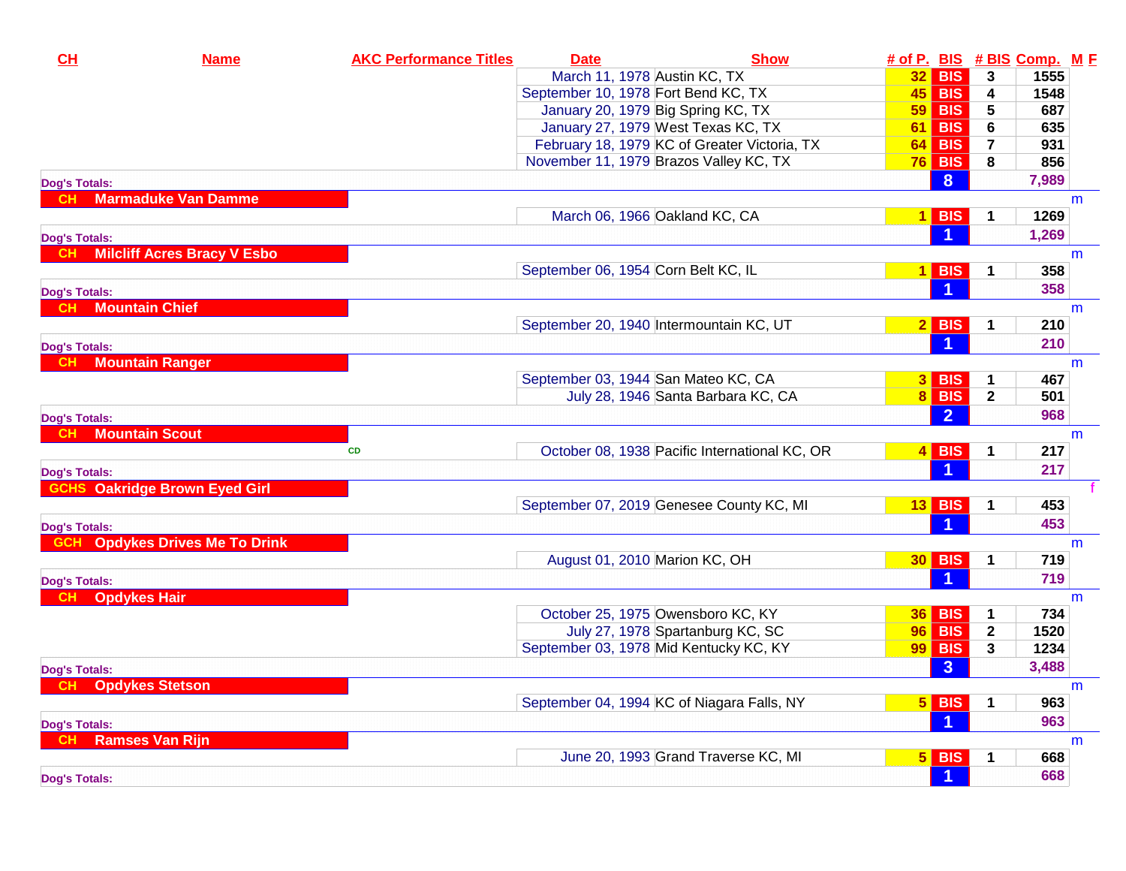| CL                                 | <b>Name</b>                          | <b>AKC Performance Titles</b> | <b>Date</b> | <b>Show</b>                                   |    |                      |                | # of P. BIS # BIS Comp. M F |   |
|------------------------------------|--------------------------------------|-------------------------------|-------------|-----------------------------------------------|----|----------------------|----------------|-----------------------------|---|
|                                    |                                      |                               |             | March 11, 1978 Austin KC, TX                  |    | $32$ BIS             | $\mathbf{3}$   | 1555                        |   |
|                                    |                                      |                               |             | September 10, 1978 Fort Bend KC, TX           |    | $45$ BIS             | 4              | 1548                        |   |
|                                    |                                      |                               |             | January 20, 1979 Big Spring KC, TX            | 59 | <b>BIS</b>           | 5              | 687                         |   |
|                                    |                                      |                               |             | January 27, 1979 West Texas KC, TX            |    | $61$ BIS             | 6              | 635                         |   |
|                                    |                                      |                               |             | February 18, 1979 KC of Greater Victoria, TX  | 64 | <b>BIS</b>           | $\overline{7}$ | 931                         |   |
|                                    |                                      |                               |             | November 11, 1979 Brazos Valley KC, TX        |    | $76$ BIS             | 8              | 856                         |   |
| <b>Dog's Totals:</b>               |                                      |                               |             |                                               |    | 8                    |                | 7,989                       |   |
|                                    | <b>Marmaduke Van Damme</b>           |                               |             |                                               |    |                      |                |                             | m |
|                                    |                                      |                               |             | March 06, 1966 Oakland KC, CA                 |    | $1$ BIS              | 1              | 1269                        |   |
| <b>Dog's Totals:</b>               |                                      |                               |             |                                               |    |                      |                | 1,269                       |   |
| <b>CH</b>                          | <b>Milcliff Acres Bracy V Esbo</b>   |                               |             |                                               |    |                      |                |                             | m |
|                                    |                                      |                               |             | September 06, 1954 Corn Belt KC, IL           |    | $1$ BIS              | 1              | 358                         |   |
| <b>Dog's Totals:</b>               |                                      |                               |             |                                               |    | -1                   |                | 358                         |   |
| <b>CH</b>                          | <b>Mountain Chief</b>                |                               |             |                                               |    |                      |                |                             | m |
|                                    |                                      |                               |             | September 20, 1940 Intermountain KC, UT       |    | $2$ BIS              |                | 210                         |   |
| <b>Dog's Totals:</b>               |                                      |                               |             |                                               |    | $\blacktriangleleft$ |                | 210                         |   |
| <b>CH</b>                          | <b>Mountain Ranger</b>               |                               |             |                                               |    |                      |                |                             | m |
|                                    |                                      |                               |             | September 03, 1944 San Mateo KC, CA           |    | $3$ BIS              | 1              | 467                         |   |
|                                    |                                      |                               |             | July 28, 1946 Santa Barbara KC, CA            |    | 8 BIS                | $\mathbf{2}$   | 501                         |   |
| <b>Dog's Totals:</b>               |                                      |                               |             |                                               |    | $\overline{2}$       |                | 968                         |   |
| <b>CH</b>                          | <b>Mountain Scout</b>                |                               |             |                                               |    |                      |                |                             | m |
|                                    |                                      | <b>CD</b>                     |             | October 08, 1938 Pacific International KC, OR |    | $4$ BIS              | 1              | 217                         |   |
|                                    |                                      |                               |             |                                               |    |                      |                | 217                         |   |
| <b>Dog's Totals:</b>               | <b>GCHS Oakridge Brown Eyed Girl</b> |                               |             |                                               |    |                      |                |                             |   |
|                                    |                                      |                               |             | September 07, 2019 Genesee County KC, MI      |    | $13$ BIS             | 1              | 453                         |   |
|                                    |                                      |                               |             |                                               |    |                      |                | 453                         |   |
| <b>Dog's Totals:</b><br><b>GCH</b> | <b>Opdykes Drives Me To Drink</b>    |                               |             |                                               |    |                      |                |                             |   |
|                                    |                                      |                               |             | August 01, 2010 Marion KC, OH                 |    | <b>30 BIS</b>        | 1              | 719                         | m |
|                                    |                                      |                               |             |                                               |    | $\blacktriangleleft$ |                | 719                         |   |
| <b>Dog's Totals:</b><br><b>CH</b>  |                                      |                               |             |                                               |    |                      |                |                             |   |
| <b>Opdykes Hair</b>                |                                      |                               |             | October 25, 1975 Owensboro KC, KY             | 36 | <b>BIS</b>           |                | 734                         | m |
|                                    |                                      |                               |             | July 27, 1978 Spartanburg KC, SC              |    | <b>96 BIS</b>        | $\mathbf{2}$   | 1520                        |   |
|                                    |                                      |                               |             | September 03, 1978 Mid Kentucky KC, KY        |    | $99$ BIS             | 3              | 1234                        |   |
|                                    |                                      |                               |             |                                               |    |                      |                |                             |   |
| <b>Dog's Totals:</b>               |                                      |                               |             |                                               |    | 3 <sup>2</sup>       |                | 3,488                       |   |
| <b>CH</b>                          | <b>Opdykes Stetson</b>               |                               |             |                                               |    |                      |                |                             | m |
|                                    |                                      |                               |             | September 04, 1994 KC of Niagara Falls, NY    |    | $5$ BIS              |                | 963                         |   |
| <b>Dog's Totals:</b>               |                                      |                               |             |                                               |    | -1                   |                | 963                         |   |
|                                    | <b>Ramses Van Rijn</b>               |                               |             |                                               |    |                      |                |                             | m |
|                                    |                                      |                               |             | June 20, 1993 Grand Traverse KC, MI           |    | $5$ BIS              |                | 668                         |   |
| <b>Dog's Totals:</b>               |                                      |                               |             |                                               |    | $\blacktriangleleft$ |                | 668                         |   |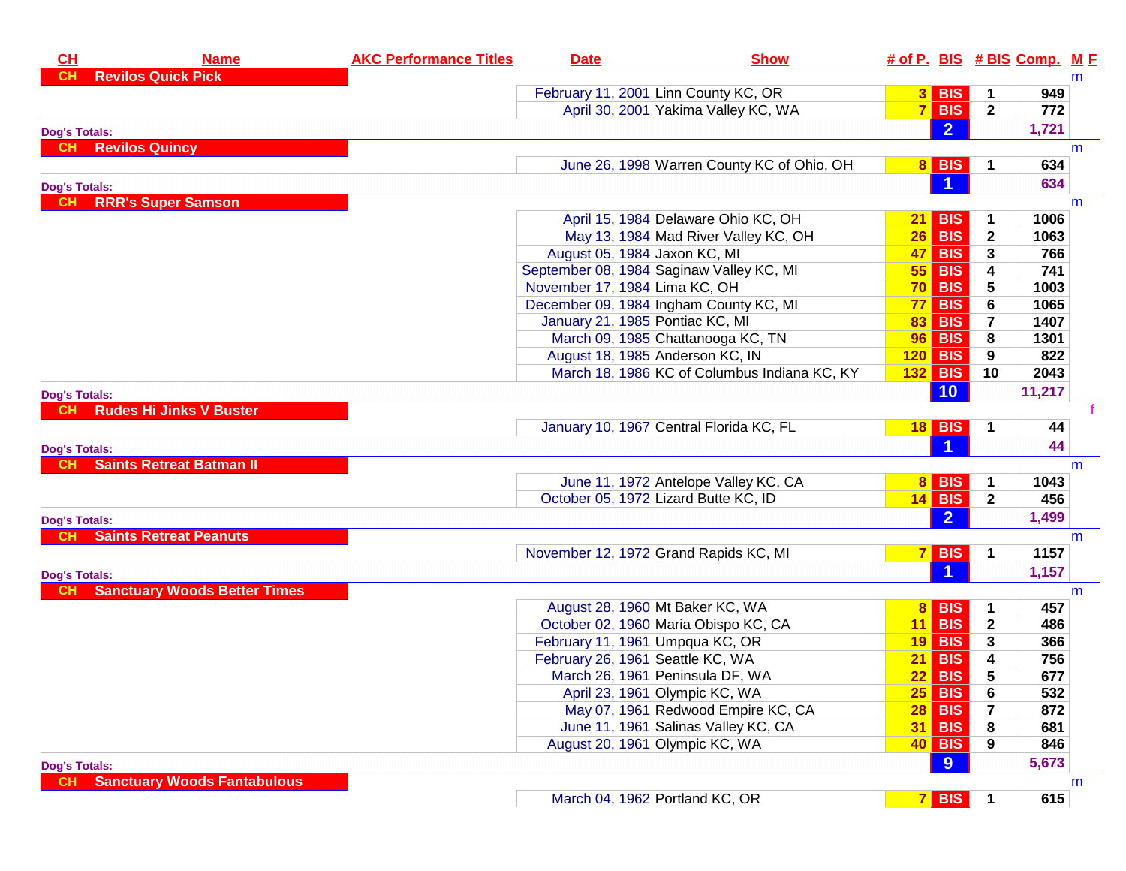| CH                   | <b>Name</b>                         | <b>AKC Performance Titles</b> | <b>Date</b>                              | <b>Show</b>                                  |                 |                      |                | # of P. BIS # BIS Comp. M F |   |
|----------------------|-------------------------------------|-------------------------------|------------------------------------------|----------------------------------------------|-----------------|----------------------|----------------|-----------------------------|---|
| <b>CH</b>            | <b>Revilos Quick Pick</b>           |                               |                                          |                                              |                 |                      |                |                             | m |
|                      |                                     |                               | February 11, 2001 Linn County KC, OR     |                                              |                 | $3$ BIS              | 1              | 949                         |   |
|                      |                                     |                               |                                          | April 30, 2001 Yakima Valley KC, WA          |                 | $7$ BIS              | $\overline{2}$ | 772                         |   |
| <b>Dog's Totals:</b> |                                     |                               |                                          |                                              |                 | $\overline{2}$       |                | 1,721                       |   |
| -CH.                 | <b>Revilos Quincy</b>               |                               |                                          |                                              |                 |                      |                |                             | m |
|                      |                                     |                               |                                          | June 26, 1998 Warren County KC of Ohio, OH   |                 | 8 BIS                | $\mathbf 1$    | 634                         |   |
| <b>Dog's Totals:</b> |                                     |                               |                                          |                                              |                 | $\vert$ 1            |                | 634                         |   |
| CH                   | <b>RRR's Super Samson</b>           |                               |                                          |                                              |                 |                      |                |                             | m |
|                      |                                     |                               |                                          | April 15, 1984 Delaware Ohio KC, OH          | 21              | <b>BIS</b>           | 1              | 1006                        |   |
|                      |                                     |                               |                                          | May 13, 1984 Mad River Valley KC, OH         |                 | $26$ BIS             | $\mathbf{2}$   | 1063                        |   |
|                      |                                     |                               | August 05, 1984 Jaxon KC, MI             |                                              | <b>47</b>       | <b>BIS</b>           | 3              | 766                         |   |
|                      |                                     |                               | September 08, 1984 Saginaw Valley KC, MI |                                              | 55              | <b>BIS</b>           | 4              | 741                         |   |
|                      |                                     |                               | November 17, 1984 Lima KC, OH            |                                              |                 | $70$ BIS             | 5              | 1003                        |   |
|                      |                                     |                               | December 09, 1984 Ingham County KC, MI   |                                              | 77              | <b>BIS</b>           | 6              | 1065                        |   |
|                      |                                     |                               | January 21, 1985 Pontiac KC, MI          |                                              | 83              | <b>BIS</b>           | $\overline{7}$ | 1407                        |   |
|                      |                                     |                               | March 09, 1985 Chattanooga KC, TN        |                                              |                 | <b>96 BIS</b>        | 8              | 1301                        |   |
|                      |                                     |                               | August 18, 1985 Anderson KC, IN          |                                              |                 | $120$ BIS            | 9              | 822                         |   |
|                      |                                     |                               |                                          | March 18, 1986 KC of Columbus Indiana KC, KY |                 | <b>132 BIS</b>       | 10             | 2043                        |   |
| <b>Dog's Totals:</b> |                                     |                               |                                          |                                              |                 | 10                   |                | 11,217                      |   |
|                      | <b>Rudes Hi Jinks V Buster</b>      |                               |                                          |                                              |                 |                      |                |                             |   |
|                      |                                     |                               | January 10, 1967 Central Florida KC, FL  |                                              |                 | <b>18 BIS</b>        | 1              | 44                          |   |
|                      |                                     |                               |                                          |                                              |                 | $\blacktriangleleft$ |                | 44                          |   |
| <b>Dog's Totals:</b> | <b>Saints Retreat Batman II</b>     |                               |                                          |                                              |                 |                      |                |                             | m |
|                      |                                     |                               |                                          | June 11, 1972 Antelope Valley KC, CA         |                 | 8 BIS                | 1              | 1043                        |   |
|                      |                                     |                               | October 05, 1972 Lizard Butte KC, ID     |                                              |                 | $14$ BIS             | $\mathbf{2}$   | 456                         |   |
|                      |                                     |                               |                                          |                                              |                 | $\overline{2}$       |                | 1,499                       |   |
| <b>Dog's Totals:</b> | <b>Saints Retreat Peanuts</b>       |                               |                                          |                                              |                 |                      |                |                             |   |
|                      |                                     |                               |                                          |                                              |                 | $7$ BIS              |                | 1157                        | m |
|                      |                                     |                               | November 12, 1972 Grand Rapids KC, MI    |                                              |                 |                      | 1              |                             |   |
| <b>Dog's Totals:</b> |                                     |                               |                                          |                                              |                 | $\overline{1}$       |                | 1,157                       |   |
|                      | <b>Sanctuary Woods Better Times</b> |                               |                                          |                                              |                 |                      |                |                             | m |
|                      |                                     |                               | August 28, 1960 Mt Baker KC, WA          |                                              | 8 <sup>1</sup>  | <b>BIS</b>           | 1              | 457                         |   |
|                      |                                     |                               | October 02, 1960 Maria Obispo KC, CA     |                                              |                 | $11$ BIS             | $\mathbf{2}$   | 486                         |   |
|                      |                                     |                               | February 11, 1961 Umpqua KC, OR          |                                              |                 | $19$ BIS             | 3              | 366                         |   |
|                      |                                     |                               | February 26, 1961 Seattle KC, WA         |                                              | 21 <sub>l</sub> | <b>BIS</b>           | 4              | 756                         |   |
|                      |                                     |                               | March 26, 1961 Peninsula DF, WA          |                                              | 22              | <b>BIS</b>           | 5              | 677                         |   |
|                      |                                     |                               | April 23, 1961 Olympic KC, WA            |                                              |                 | $25$ BIS             | 6              | 532                         |   |
|                      |                                     |                               |                                          | May 07, 1961 Redwood Empire KC, CA           |                 | $28$ BIS             | 7              | 872                         |   |
|                      |                                     |                               |                                          | June 11, 1961 Salinas Valley KC, CA          | 31              | <b>BIS</b>           | 8              | 681                         |   |
|                      |                                     |                               | August 20, 1961 Olympic KC, WA           |                                              |                 | 40 BIS               | 9              | 846                         |   |
| <b>Dog's Totals:</b> |                                     |                               |                                          |                                              |                 | 9                    |                | 5,673                       |   |
|                      | <b>Sanctuary Woods Fantabulous</b>  |                               |                                          |                                              |                 |                      |                |                             | m |
|                      |                                     |                               | March 04, 1962 Portland KC, OR           |                                              | 7 <sup>1</sup>  | <b>BIS</b>           | 1              | 615                         |   |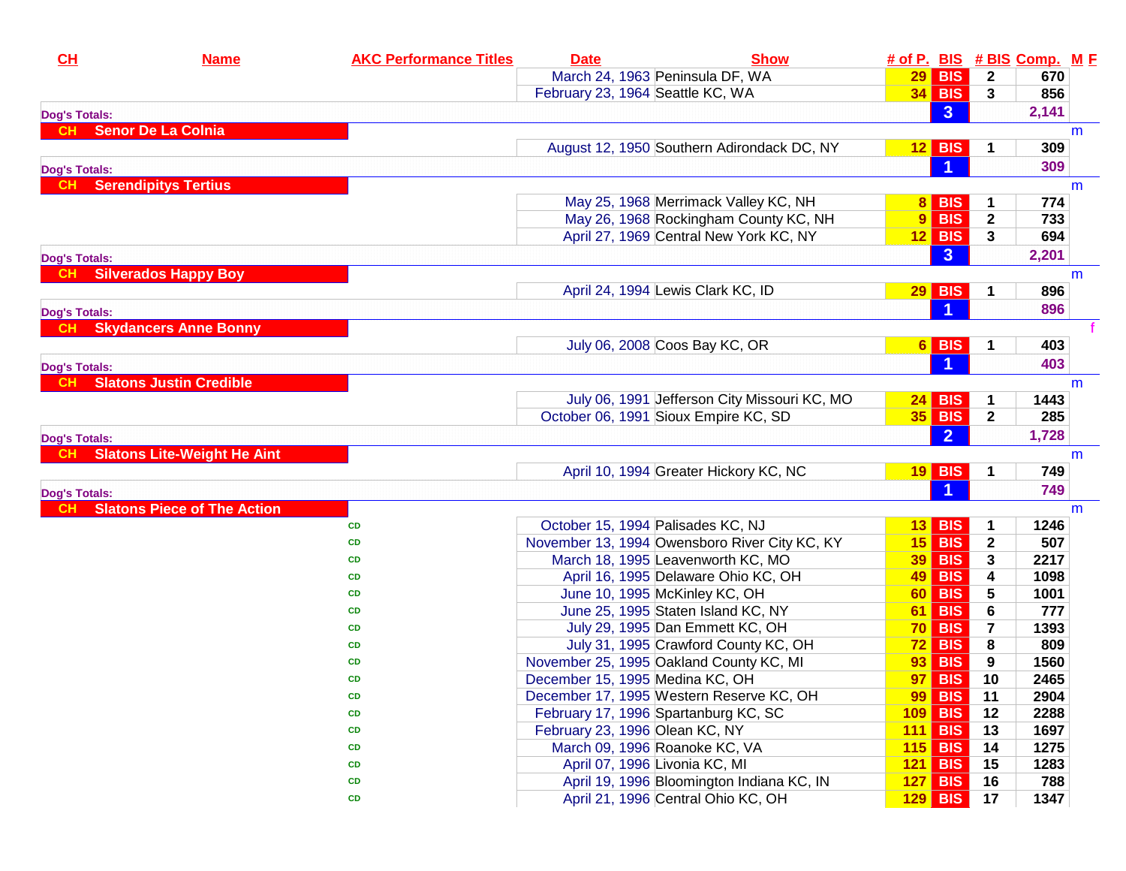| CL                                | <b>Name</b>                        | <b>AKC Performance Titles</b> | <b>Date</b> |                                               | <b>Show</b> |                 |                |                         | # of P. BIS # BIS Comp. M F |   |
|-----------------------------------|------------------------------------|-------------------------------|-------------|-----------------------------------------------|-------------|-----------------|----------------|-------------------------|-----------------------------|---|
|                                   |                                    |                               |             | March 24, 1963 Peninsula DF, WA               |             |                 | $29$ BIS       | $\mathbf{2}$            | 670                         |   |
|                                   |                                    |                               |             | February 23, 1964 Seattle KC, WA              |             |                 | $34$ BIS       | $\mathbf{3}$            | 856                         |   |
| <b>Dog's Totals:</b>              |                                    |                               |             |                                               |             |                 | 3 <sup>1</sup> |                         | 2,141                       |   |
| <b>CH</b>                         | <b>Senor De La Colnia</b>          |                               |             |                                               |             |                 |                |                         |                             | m |
|                                   |                                    |                               |             | August 12, 1950 Southern Adirondack DC, NY    |             |                 | $12$ BIS       | 1                       | 309                         |   |
| <b>Dog's Totals:</b>              |                                    |                               |             |                                               |             |                 |                |                         | 309                         |   |
| CH.                               | <b>Serendipitys Tertius</b>        |                               |             |                                               |             |                 |                |                         |                             | m |
|                                   |                                    |                               |             | May 25, 1968 Merrimack Valley KC, NH          |             | 8 <sup>1</sup>  | <b>BIS</b>     | 1                       | 774                         |   |
|                                   |                                    |                               |             | May 26, 1968 Rockingham County KC, NH         |             |                 | $9$ BIS        | $\mathbf{2}$            | 733                         |   |
|                                   |                                    |                               |             | April 27, 1969 Central New York KC, NY        |             |                 | $12$ BIS       | 3                       | 694                         |   |
| <b>Dog's Totals:</b>              |                                    |                               |             |                                               |             |                 | 3 <sup>2</sup> |                         | 2,201                       |   |
|                                   | <b>Silverados Happy Boy</b>        |                               |             |                                               |             |                 |                |                         |                             | m |
|                                   |                                    |                               |             | April 24, 1994 Lewis Clark KC, ID             |             |                 | $29$ BIS       | 1                       | 896                         |   |
| <b>Dog's Totals:</b>              |                                    |                               |             |                                               |             |                 |                |                         | 896                         |   |
| <b>CH</b>                         | <b>Skydancers Anne Bonny</b>       |                               |             |                                               |             |                 |                |                         |                             |   |
|                                   |                                    |                               |             | July 06, 2008 Coos Bay KC, OR                 |             |                 | $6$ BIS        | 1                       | 403                         |   |
| <b>Dog's Totals:</b>              |                                    |                               |             |                                               |             |                 |                |                         | 403                         |   |
| CH                                | <b>Slatons Justin Credible</b>     |                               |             |                                               |             |                 |                |                         |                             | m |
|                                   |                                    |                               |             | July 06, 1991 Jefferson City Missouri KC, MO  |             | 24 I            | <b>BIS</b>     | 1                       | 1443                        |   |
|                                   |                                    |                               |             | October 06, 1991 Sioux Empire KC, SD          |             |                 | $35$ BIS       | $\overline{2}$          | 285                         |   |
| <b>Dog's Totals:</b>              |                                    |                               |             |                                               |             |                 | $\overline{2}$ |                         | 1,728                       |   |
| <b>CH</b>                         | <b>Slatons Lite-Weight He Aint</b> |                               |             |                                               |             |                 |                |                         |                             | m |
|                                   |                                    |                               |             | April 10, 1994 Greater Hickory KC, NC         |             |                 | $19$ BIS       | 1                       | 749                         |   |
|                                   |                                    |                               |             |                                               |             |                 |                |                         | 749                         |   |
| <b>Dog's Totals:</b><br><b>CH</b> | <b>Slatons Piece of The Action</b> |                               |             |                                               |             |                 |                |                         |                             | m |
|                                   |                                    | CD                            |             | October 15, 1994 Palisades KC, NJ             |             | 13 <sup>1</sup> | <b>BIS</b>     | 1                       | 1246                        |   |
|                                   |                                    | CD                            |             | November 13, 1994 Owensboro River City KC, KY |             | 15              | <b>BIS</b>     | $\mathbf{2}$            | 507                         |   |
|                                   |                                    | CD                            |             | March 18, 1995 Leavenworth KC, MO             |             | 39              | <b>BIS</b>     | 3                       | 2217                        |   |
|                                   |                                    | CD                            |             | April 16, 1995 Delaware Ohio KC, OH           |             | 49              | <b>BIS</b>     | 4                       | 1098                        |   |
|                                   |                                    | CD                            |             | June 10, 1995 McKinley KC, OH                 |             | 60 <sub>1</sub> | <b>BIS</b>     | 5                       | 1001                        |   |
|                                   |                                    | CD                            |             | June 25, 1995 Staten Island KC, NY            |             | 61              | <b>BIS</b>     | 6                       | 777                         |   |
|                                   |                                    | CD                            |             | July 29, 1995 Dan Emmett KC, OH               |             | <b>70</b>       | <b>BIS</b>     | $\overline{\mathbf{r}}$ | 1393                        |   |
|                                   |                                    | CD                            |             | July 31, 1995 Crawford County KC, OH          |             | 72              | <b>BIS</b>     | 8                       | 809                         |   |
|                                   |                                    | CD                            |             | November 25, 1995 Oakland County KC, MI       |             | 93              | <b>BIS</b>     | 9                       | 1560                        |   |
|                                   |                                    | <b>CD</b>                     |             | December 15, 1995 Medina KC, OH               |             | 97              | <b>BIS</b>     | 10                      | 2465                        |   |
|                                   |                                    | CD                            |             | December 17, 1995 Western Reserve KC, OH      |             | 99              | <b>BIS</b>     | 11                      | 2904                        |   |
|                                   |                                    | CD                            |             | February 17, 1996 Spartanburg KC, SC          |             | 109             | <b>BIS</b>     | 12                      | 2288                        |   |
|                                   |                                    | CD                            |             | February 23, 1996 Olean KC, NY                |             |                 | $111$ BIS      | 13                      | 1697                        |   |
|                                   |                                    | CD                            |             | March 09, 1996 Roanoke KC, VA                 |             |                 | $115$ BIS      | 14                      | 1275                        |   |
|                                   |                                    | CD                            |             | April 07, 1996 Livonia KC, MI                 |             | 121             | <b>BIS</b>     | 15                      | 1283                        |   |
|                                   |                                    | CD                            |             | April 19, 1996 Bloomington Indiana KC, IN     |             | 127             | <b>BIS</b>     | 16                      | 788                         |   |
|                                   |                                    | CD                            |             | April 21, 1996 Central Ohio KC, OH            |             | 129             | <b>BIS</b>     | 17                      | 1347                        |   |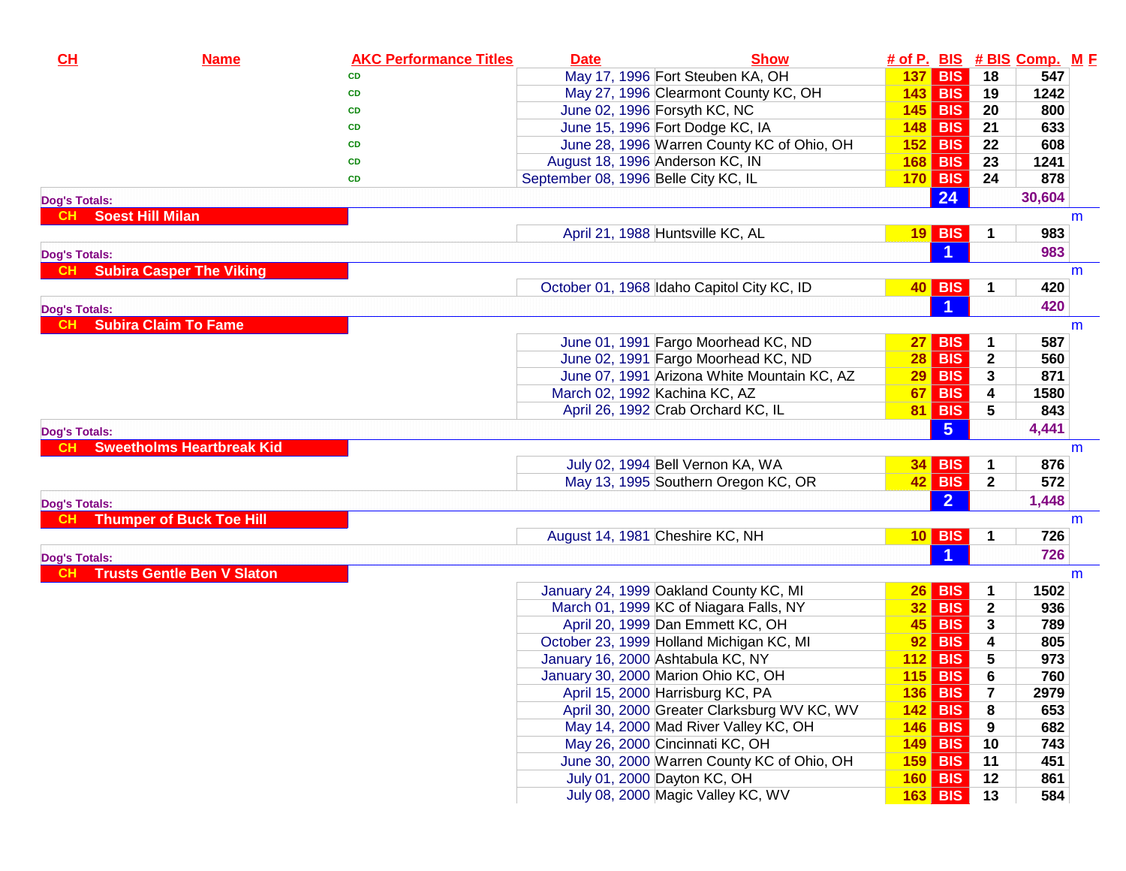| CL                   | <b>Name</b>                       | <b>AKC Performance Titles</b> | <b>Date</b> | <b>Show</b>                                 |    |                      |              | # of P. BIS # BIS Comp. M F |   |
|----------------------|-----------------------------------|-------------------------------|-------------|---------------------------------------------|----|----------------------|--------------|-----------------------------|---|
|                      |                                   | <b>CD</b>                     |             | May 17, 1996 Fort Steuben KA, OH            |    | $137$ BIS            | 18           | 547                         |   |
|                      |                                   | <b>CD</b>                     |             | May 27, 1996 Clearmont County KC, OH        |    | 143 BIS              | 19           | 1242                        |   |
|                      |                                   | CD                            |             | June 02, 1996 Forsyth KC, NC                |    | $145$ BIS            | 20           | 800                         |   |
|                      |                                   | <b>CD</b>                     |             | June 15, 1996 Fort Dodge KC, IA             |    | <b>148 BIS</b>       | 21           | 633                         |   |
|                      |                                   | <b>CD</b>                     |             | June 28, 1996 Warren County KC of Ohio, OH  |    | $152$ BIS            | 22           | 608                         |   |
|                      |                                   | <b>CD</b>                     |             | August 18, 1996 Anderson KC, IN             |    | <b>168 BIS</b>       | 23           | 1241                        |   |
|                      |                                   | <b>CD</b>                     |             | September 08, 1996 Belle City KC, IL        |    | $170$ BIS            | 24           | 878                         |   |
| <b>Dog's Totals:</b> |                                   |                               |             |                                             |    | 24                   |              | 30,604                      |   |
| <b>CH</b>            | <b>Soest Hill Milan</b>           |                               |             |                                             |    |                      |              |                             | m |
|                      |                                   |                               |             | April 21, 1988 Huntsville KC, AL            |    | $19$ BIS             | 1            | 983                         |   |
| <b>Dog's Totals:</b> |                                   |                               |             |                                             |    |                      |              | 983                         |   |
| CH.                  | <b>Subira Casper The Viking</b>   |                               |             |                                             |    |                      |              |                             | m |
|                      |                                   |                               |             | October 01, 1968 Idaho Capitol City KC, ID  |    | 40 BIS               |              | 420                         |   |
| <b>Dog's Totals:</b> |                                   |                               |             |                                             |    | $\blacksquare$       |              | 420                         |   |
|                      | <b>Subira Claim To Fame</b>       |                               |             |                                             |    |                      |              |                             | m |
|                      |                                   |                               |             | June 01, 1991 Fargo Moorhead KC, ND         | 27 | <b>BIS</b>           |              | 587                         |   |
|                      |                                   |                               |             | June 02, 1991 Fargo Moorhead KC, ND         |    | $28$ BIS             | $\mathbf 2$  | 560                         |   |
|                      |                                   |                               |             | June 07, 1991 Arizona White Mountain KC, AZ |    | $29$ BIS             | 3            | 871                         |   |
|                      |                                   |                               |             | March 02, 1992 Kachina KC, AZ               |    | $67$ BIS             | 4            | 1580                        |   |
|                      |                                   |                               |             | April 26, 1992 Crab Orchard KC, IL          |    | <b>81 BIS</b>        | 5            | 843                         |   |
| <b>Dog's Totals:</b> |                                   |                               |             |                                             |    | 5 <sup>5</sup>       |              | 4,441                       |   |
|                      | <b>Sweetholms Heartbreak Kid</b>  |                               |             |                                             |    |                      |              |                             | m |
|                      |                                   |                               |             | July 02, 1994 Bell Vernon KA, WA            |    | $34$ BIS             | 1            | 876                         |   |
|                      |                                   |                               |             | May 13, 1995 Southern Oregon KC, OR         |    | $42$ BIS             | $\mathbf{2}$ | 572                         |   |
| <b>Dog's Totals:</b> |                                   |                               |             |                                             |    | 2 <sup>1</sup>       |              | 1,448                       |   |
| <b>CH</b>            | <b>Thumper of Buck Toe Hill</b>   |                               |             |                                             |    |                      |              |                             | m |
|                      |                                   |                               |             | August 14, 1981 Cheshire KC, NH             |    | $10$ BIS             | 1            | 726                         |   |
| <b>Dog's Totals:</b> |                                   |                               |             |                                             |    | $\blacktriangleleft$ |              | 726                         |   |
|                      | <b>Trusts Gentle Ben V Slaton</b> |                               |             |                                             |    |                      |              |                             | m |
|                      |                                   |                               |             | January 24, 1999 Oakland County KC, MI      |    | $26$ BIS             | 1            | 1502                        |   |
|                      |                                   |                               |             | March 01, 1999 KC of Niagara Falls, NY      |    | $32$ BIS             | $\mathbf{2}$ | 936                         |   |
|                      |                                   |                               |             | April 20, 1999 Dan Emmett KC, OH            |    | $45$ BIS             | 3            | 789                         |   |
|                      |                                   |                               |             | October 23, 1999 Holland Michigan KC, MI    |    | $92$ BIS             | 4            | 805                         |   |
|                      |                                   |                               |             | January 16, 2000 Ashtabula KC, NY           |    | $112$ BIS            | 5            | 973                         |   |
|                      |                                   |                               |             | January 30, 2000 Marion Ohio KC, OH         |    | $115$ BIS            | 6            | 760                         |   |
|                      |                                   |                               |             | April 15, 2000 Harrisburg KC, PA            |    | <b>136 BIS</b>       |              | 2979                        |   |
|                      |                                   |                               |             | April 30, 2000 Greater Clarksburg WV KC, WV |    | $142$ BIS            | 8            | 653                         |   |
|                      |                                   |                               |             | May 14, 2000 Mad River Valley KC, OH        |    | <b>146 BIS</b>       | 9            | 682                         |   |
|                      |                                   |                               |             | May 26, 2000 Cincinnati KC, OH              |    | $149$ BIS            | 10           | 743                         |   |
|                      |                                   |                               |             | June 30, 2000 Warren County KC of Ohio, OH  |    | $159$ BIS            | 11           | 451                         |   |
|                      |                                   |                               |             | July 01, 2000 Dayton KC, OH                 |    | $160$ BIS            | 12           | 861                         |   |
|                      |                                   |                               |             | July 08, 2000 Magic Valley KC, WV           |    | 163 BIS              | 13           | 584                         |   |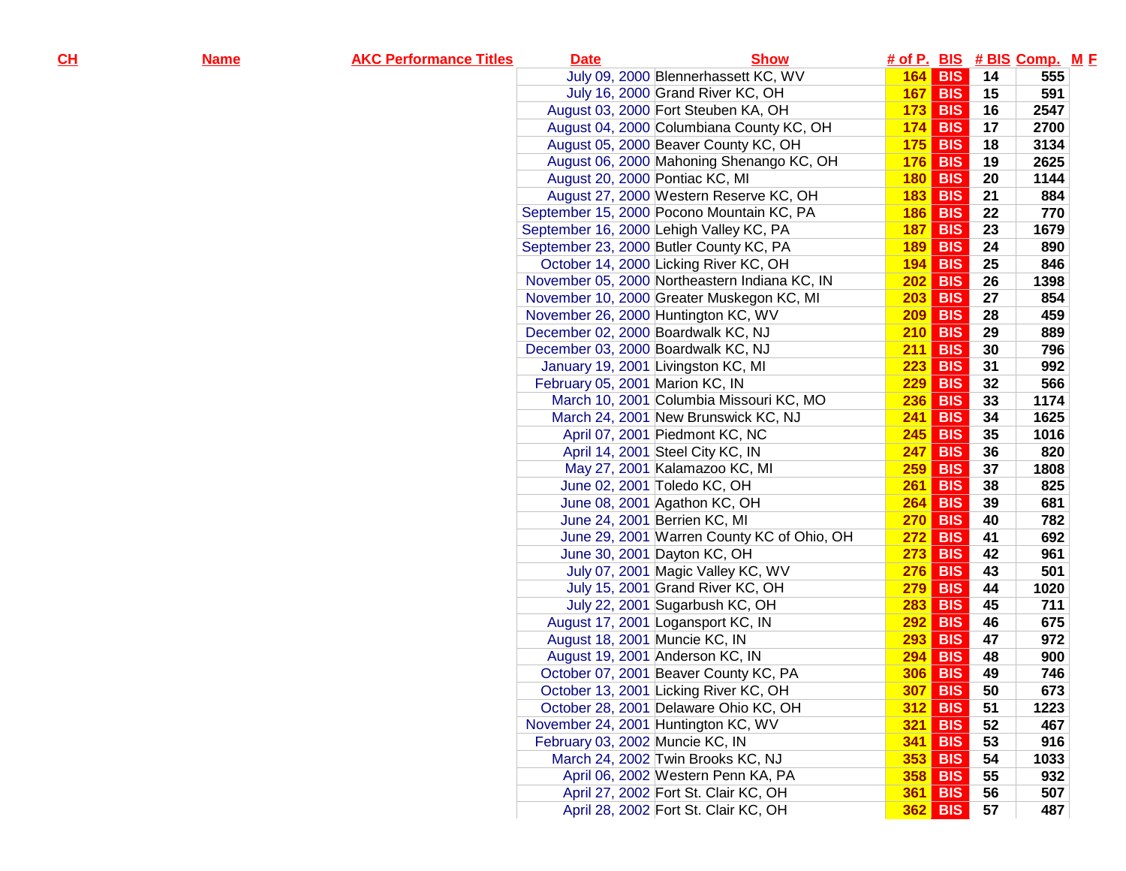| <u>н</u> | <u>Name</u> | <b>AKC Performance Titles</b> | <b>Date</b>                         | <b>Show</b>                                   |     |                |    | # of P. BIS # BIS Comp. M E |  |
|----------|-------------|-------------------------------|-------------------------------------|-----------------------------------------------|-----|----------------|----|-----------------------------|--|
|          |             |                               |                                     | July 09, 2000 Blennerhassett KC, WV           |     | <b>164 BIS</b> | 14 | 555                         |  |
|          |             |                               |                                     | July 16, 2000 Grand River KC, OH              |     | $167$ BIS      | 15 | 591                         |  |
|          |             |                               |                                     | August 03, 2000 Fort Steuben KA, OH           | 173 | <b>BIS</b>     | 16 | 2547                        |  |
|          |             |                               |                                     | August 04, 2000 Columbiana County KC, OH      | 174 | <b>BIS</b>     | 17 | 2700                        |  |
|          |             |                               |                                     | August 05, 2000 Beaver County KC, OH          | 175 | <b>BIS</b>     | 18 | 3134                        |  |
|          |             |                               |                                     | August 06, 2000 Mahoning Shenango KC, OH      | 176 | <b>BIS</b>     | 19 | 2625                        |  |
|          |             |                               | August 20, 2000 Pontiac KC, MI      |                                               | 180 | <b>BIS</b>     | 20 | 1144                        |  |
|          |             |                               |                                     | August 27, 2000 Western Reserve KC, OH        | 183 | <b>BIS</b>     | 21 | 884                         |  |
|          |             |                               |                                     | September 15, 2000 Pocono Mountain KC, PA     | 186 | <b>BIS</b>     | 22 | 770                         |  |
|          |             |                               |                                     | September 16, 2000 Lehigh Valley KC, PA       | 187 | <b>BIS</b>     | 23 | 1679                        |  |
|          |             |                               |                                     | September 23, 2000 Butler County KC, PA       | 189 | <b>BIS</b>     | 24 | 890                         |  |
|          |             |                               |                                     | October 14, 2000 Licking River KC, OH         | 194 | <b>BIS</b>     | 25 | 846                         |  |
|          |             |                               |                                     | November 05, 2000 Northeastern Indiana KC, IN | 202 | <b>BIS</b>     | 26 | 1398                        |  |
|          |             |                               |                                     | November 10, 2000 Greater Muskegon KC, MI     | 203 | <b>BIS</b>     | 27 | 854                         |  |
|          |             |                               | November 26, 2000 Huntington KC, WV |                                               | 209 | <b>BIS</b>     | 28 | 459                         |  |
|          |             |                               | December 02, 2000 Boardwalk KC, NJ  |                                               | 210 | <b>BIS</b>     | 29 | 889                         |  |
|          |             |                               | December 03, 2000 Boardwalk KC, NJ  |                                               | 211 | <b>BIS</b>     | 30 | 796                         |  |
|          |             |                               |                                     | January 19, 2001 Livingston KC, MI            | 223 | <b>BIS</b>     | 31 | 992                         |  |
|          |             |                               | February 05, 2001 Marion KC, IN     |                                               | 229 | <b>BIS</b>     | 32 | 566                         |  |
|          |             |                               |                                     | March 10, 2001 Columbia Missouri KC, MO       | 236 | <b>BIS</b>     | 33 | 1174                        |  |
|          |             |                               |                                     | March 24, 2001 New Brunswick KC, NJ           |     | <b>241 BIS</b> | 34 | 1625                        |  |
|          |             |                               |                                     | April 07, 2001 Piedmont KC, NC                |     | $245$ BIS      | 35 | 1016                        |  |
|          |             |                               |                                     | April 14, 2001 Steel City KC, IN              | 247 | <b>BIS</b>     | 36 | 820                         |  |
|          |             |                               |                                     | May 27, 2001 Kalamazoo KC, MI                 | 259 | <b>BIS</b>     | 37 | 1808                        |  |
|          |             |                               |                                     | June 02, 2001 Toledo KC, OH                   | 261 | <b>BIS</b>     | 38 | 825                         |  |
|          |             |                               |                                     | June 08, 2001 Agathon KC, OH                  | 264 | <b>BIS</b>     | 39 | 681                         |  |
|          |             |                               |                                     | June 24, 2001 Berrien KC, MI                  | 270 | <b>BIS</b>     | 40 | 782                         |  |
|          |             |                               |                                     | June 29, 2001 Warren County KC of Ohio, OH    | 272 | <b>BIS</b>     | 41 | 692                         |  |
|          |             |                               |                                     | June 30, 2001 Dayton KC, OH                   | 273 | <b>BIS</b>     | 42 | 961                         |  |
|          |             |                               |                                     | July 07, 2001 Magic Valley KC, WV             | 276 | <b>BIS</b>     | 43 | 501                         |  |
|          |             |                               |                                     | July 15, 2001 Grand River KC, OH              | 279 | <b>BIS</b>     | 44 | 1020                        |  |
|          |             |                               |                                     | July 22, 2001 Sugarbush KC, OH                | 283 | <b>BIS</b>     | 45 | 711                         |  |
|          |             |                               |                                     | August 17, 2001 Logansport KC, IN             | 292 | <b>BIS</b>     | 46 | 675                         |  |
|          |             |                               | August 18, 2001 Muncie KC, IN       |                                               | 293 | <b>BIS</b>     | 47 | 972                         |  |
|          |             |                               |                                     | August 19, 2001 Anderson KC, IN               | 294 | <b>BIS</b>     | 48 | 900                         |  |
|          |             |                               |                                     | October 07, 2001 Beaver County KC, PA         | 306 | <b>BIS</b>     | 49 | 746                         |  |
|          |             |                               |                                     | October 13, 2001 Licking River KC, OH         |     | $307$ BIS      | 50 | 673                         |  |
|          |             |                               |                                     | October 28, 2001 Delaware Ohio KC, OH         |     | 312 BIS        | 51 | 1223                        |  |
|          |             |                               | November 24, 2001 Huntington KC, WV |                                               |     | 321 BIS        | 52 | 467                         |  |
|          |             |                               | February 03, 2002 Muncie KC, IN     |                                               |     | <b>341 BIS</b> | 53 | 916                         |  |
|          |             |                               |                                     | March 24, 2002 Twin Brooks KC, NJ             |     | <b>353 BIS</b> | 54 | 1033                        |  |
|          |             |                               |                                     | April 06, 2002 Western Penn KA, PA            |     | <b>358 BIS</b> | 55 | 932                         |  |
|          |             |                               |                                     | April 27, 2002 Fort St. Clair KC, OH          |     | 361 BIS        | 56 | 507                         |  |
|          |             |                               |                                     | April 28, 2002 Fort St. Clair KC, OH          |     | 362 BIS        | 57 | 487                         |  |
|          |             |                               |                                     |                                               |     |                |    |                             |  |

**CH**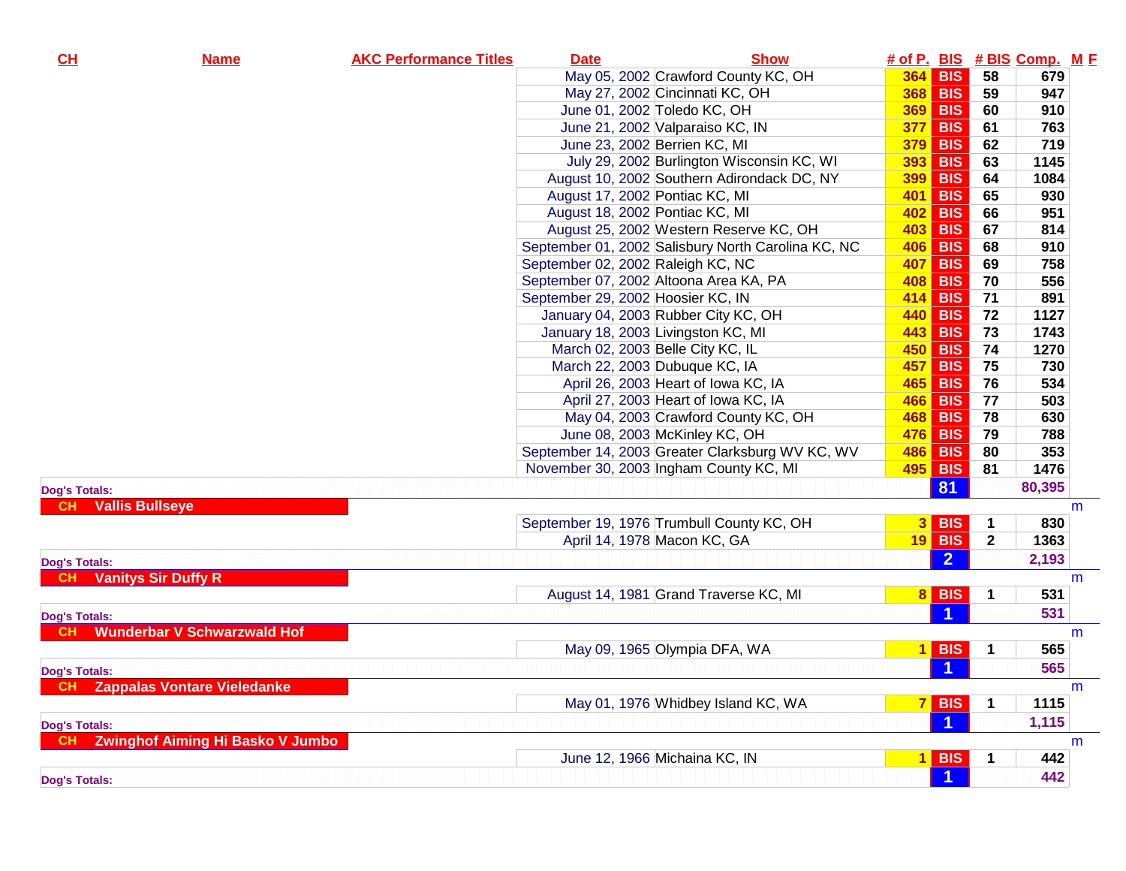| CL                   | <b>Name</b>                             | <b>AKC Performance Titles</b> | <b>Date</b> | <b>Show</b>                                        |                |                      |                | # of P. BIS # BIS Comp. M F |   |
|----------------------|-----------------------------------------|-------------------------------|-------------|----------------------------------------------------|----------------|----------------------|----------------|-----------------------------|---|
|                      |                                         |                               |             | May 05, 2002 Crawford County KC, OH                |                | 364 BIS              | 58             | 679                         |   |
|                      |                                         |                               |             | May 27, 2002 Cincinnati KC, OH                     |                | 368 BIS              | 59             | 947                         |   |
|                      |                                         |                               |             | June 01, 2002 Toledo KC, OH                        |                | <b>369 BIS</b>       | 60             | 910                         |   |
|                      |                                         |                               |             | June 21, 2002 Valparaiso KC, IN                    | 377            | BIS                  | 61             | 763                         |   |
|                      |                                         |                               |             | June 23, 2002 Berrien KC, MI                       | 379            | <b>BIS</b>           | 62             | 719                         |   |
|                      |                                         |                               |             | July 29, 2002 Burlington Wisconsin KC, WI          | 393            | BIS                  | 63             | 1145                        |   |
|                      |                                         |                               |             | August 10, 2002 Southern Adirondack DC, NY         | 399            | <b>BIS</b>           | 64             | 1084                        |   |
|                      |                                         |                               |             | August 17, 2002 Pontiac KC, MI                     |                | 401 BIS              | 65             | 930                         |   |
|                      |                                         |                               |             | August 18, 2002 Pontiac KC, MI                     | 402            | <b>BIS</b>           | 66             | 951                         |   |
|                      |                                         |                               |             | August 25, 2002 Western Reserve KC, OH             | 403            | BIS                  | 67             | 814                         |   |
|                      |                                         |                               |             | September 01, 2002 Salisbury North Carolina KC, NC | 406            | BIS                  | 68             | 910                         |   |
|                      |                                         |                               |             | September 02, 2002 Raleigh KC, NC                  | 407            | BIS                  | 69             | 758                         |   |
|                      |                                         |                               |             | September 07, 2002 Altoona Area KA, PA             | 408 BIS        |                      | 70             | 556                         |   |
|                      |                                         |                               |             | September 29, 2002 Hoosier KC, IN                  | 414 BIS        |                      | 71             | 891                         |   |
|                      |                                         |                               |             | January 04, 2003 Rubber City KC, OH                | 440 BIS        |                      | 72             | 1127                        |   |
|                      |                                         |                               |             | January 18, 2003 Livingston KC, MI                 | <b>443 BIS</b> |                      | 73             | 1743                        |   |
|                      |                                         |                               |             | March 02, 2003 Belle City KC, IL                   | <b>450 BIS</b> |                      | 74             | 1270                        |   |
|                      |                                         |                               |             | March 22, 2003 Dubuque KC, IA                      | 457            | <b>BIS</b>           | 75             | 730                         |   |
|                      |                                         |                               |             | April 26, 2003 Heart of Iowa KC, IA                | <b>465 BIS</b> |                      | 76             | 534                         |   |
|                      |                                         |                               |             | April 27, 2003 Heart of Iowa KC, IA                | <b>466 BIS</b> |                      | 77             | 503                         |   |
|                      |                                         |                               |             | May 04, 2003 Crawford County KC, OH                | <b>468 BIS</b> |                      | 78             | 630                         |   |
|                      |                                         |                               |             | June 08, 2003 McKinley KC, OH                      | 476            | BIS                  | 79             | 788                         |   |
|                      |                                         |                               |             | September 14, 2003 Greater Clarksburg WV KC, WV    | <b>486 BIS</b> |                      | 80             | 353                         |   |
|                      |                                         |                               |             | November 30, 2003 Ingham County KC, MI             | 495 BIS        |                      | 81             | 1476                        |   |
| <b>Dog's Totals:</b> |                                         |                               |             |                                                    |                | 81                   |                | 80,395                      |   |
| <b>CH</b>            | <b>Vallis Bullseye</b>                  |                               |             |                                                    |                |                      |                |                             | m |
|                      |                                         |                               |             | September 19, 1976 Trumbull County KC, OH          |                | $3$ BIS              | $\mathbf 1$    | 830                         |   |
|                      |                                         |                               |             | April 14, 1978 Macon KC, GA                        |                | $19$ BIS             | $\overline{2}$ | 1363                        |   |
| <b>Dog's Totals:</b> |                                         |                               |             |                                                    |                | $\overline{2}$       |                | 2,193                       |   |
| <b>CH</b>            | <b>Vanitys Sir Duffy R</b>              |                               |             |                                                    |                |                      |                |                             | m |
|                      |                                         |                               |             | August 14, 1981 Grand Traverse KC, MI              |                | $8$ BIS              | 1              | 531                         |   |
| <b>Dog's Totals:</b> |                                         |                               |             |                                                    |                | $\blacktriangleleft$ |                | 531                         |   |
| <b>CH</b>            | <b>Wunderbar V Schwarzwald Hof</b>      |                               |             |                                                    |                |                      |                |                             | m |
|                      |                                         |                               |             | May 09, 1965 Olympia DFA, WA                       |                | $1$ BIS              | $\mathbf 1$    | 565                         |   |
| <b>Dog's Totals:</b> |                                         |                               |             |                                                    |                | -1                   |                | 565                         |   |
| CH                   | <b>Zappalas Vontare Vieledanke</b>      |                               |             |                                                    |                |                      |                |                             | m |
|                      |                                         |                               |             | May 01, 1976 Whidbey Island KC, WA                 |                | $7$ BIS              | $\mathbf 1$    | 1115                        |   |
| <b>Dog's Totals:</b> |                                         |                               |             |                                                    |                | $\blacktriangleleft$ |                | 1,115                       |   |
|                      | <b>Zwinghof Aiming Hi Basko V Jumbo</b> |                               |             |                                                    |                |                      |                |                             | m |
|                      |                                         |                               |             | June 12, 1966 Michaina KC, IN                      |                | $1$ BIS              | -1             | 442                         |   |
|                      |                                         |                               |             |                                                    |                | $\vert$ 1            |                | 442                         |   |
| <b>Dog's Totals:</b> |                                         |                               |             |                                                    |                |                      |                |                             |   |